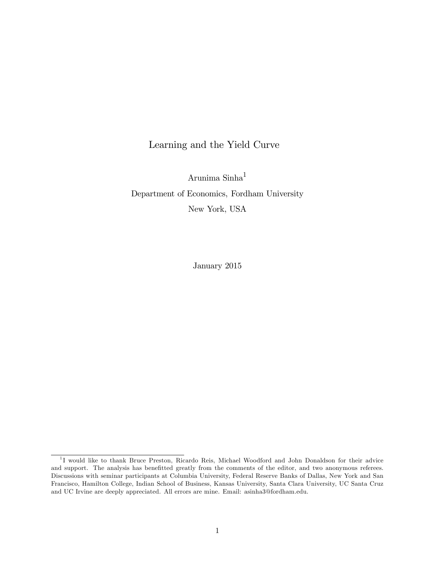## Learning and the Yield Curve

Arunima Sinha<sup>1</sup> Department of Economics, Fordham University New York, USA

January 2015

<sup>&</sup>lt;sup>1</sup>I would like to thank Bruce Preston, Ricardo Reis, Michael Woodford and John Donaldson for their advice and support. The analysis has benefitted greatly from the comments of the editor, and two anonymous referees. Discussions with seminar participants at Columbia University, Federal Reserve Banks of Dallas, New York and San Francisco, Hamilton College, Indian School of Business, Kansas University, Santa Clara University, UC Santa Cruz and UC Irvine are deeply appreciated. All errors are mine. Email: asinha3@fordham.edu.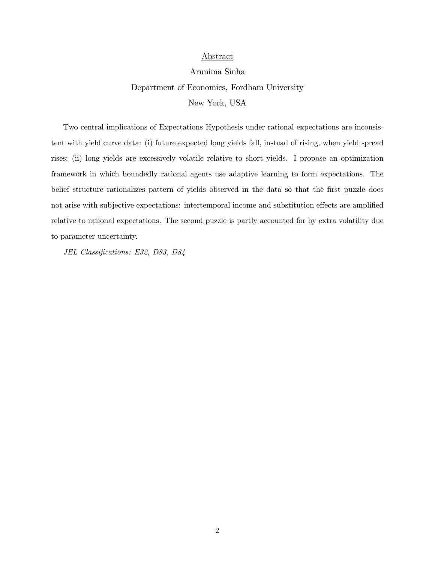#### Abstract

# Arunima Sinha

## Department of Economics, Fordham University

New York, USA

Two central implications of Expectations Hypothesis under rational expectations are inconsistent with yield curve data: (i) future expected long yields fall, instead of rising, when yield spread rises; (ii) long yields are excessively volatile relative to short yields. I propose an optimization framework in which boundedly rational agents use adaptive learning to form expectations. The belief structure rationalizes pattern of yields observed in the data so that the first puzzle does not arise with subjective expectations: intertemporal income and substitution effects are amplified relative to rational expectations. The second puzzle is partly accounted for by extra volatility due to parameter uncertainty.

JEL Classifications: E32, D83, D84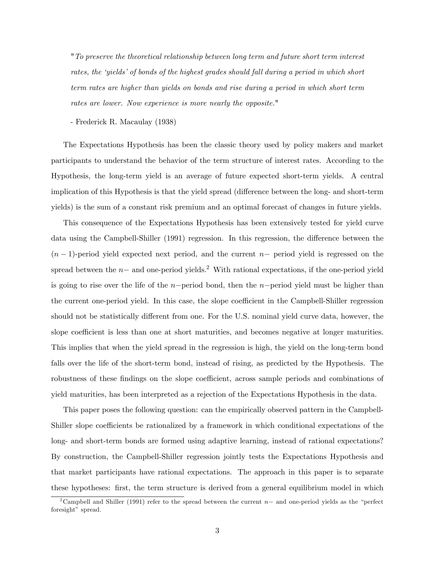"To preserve the theoretical relationship between long term and future short term interest rates, the 'yields' of bonds of the highest grades should fall during a period in which short term rates are higher than yields on bonds and rise during a period in which short term rates are lower. Now experience is more nearly the opposite."

- Frederick R. Macaulay (1938)

The Expectations Hypothesis has been the classic theory used by policy makers and market participants to understand the behavior of the term structure of interest rates. According to the Hypothesis, the long-term yield is an average of future expected short-term yields. A central implication of this Hypothesis is that the yield spread (difference between the long- and short-term yields) is the sum of a constant risk premium and an optimal forecast of changes in future yields.

This consequence of the Expectations Hypothesis has been extensively tested for yield curve data using the Campbell-Shiller (1991) regression. In this regression, the difference between the  $(n - 1)$ -period yield expected next period, and the current  $n-$  period yield is regressed on the spread between the  $n-$  and one-period yields.<sup>2</sup> With rational expectations, if the one-period yield is going to rise over the life of the  $n$ -period bond, then the n-period yield must be higher than the current one-period yield. In this case, the slope coefficient in the Campbell-Shiller regression should not be statistically different from one. For the U.S. nominal yield curve data, however, the slope coefficient is less than one at short maturities, and becomes negative at longer maturities. This implies that when the yield spread in the regression is high, the yield on the long-term bond falls over the life of the short-term bond, instead of rising, as predicted by the Hypothesis. The robustness of these findings on the slope coefficient, across sample periods and combinations of yield maturities, has been interpreted as a rejection of the Expectations Hypothesis in the data.

This paper poses the following question: can the empirically observed pattern in the Campbell-Shiller slope coefficients be rationalized by a framework in which conditional expectations of the long- and short-term bonds are formed using adaptive learning, instead of rational expectations? By construction, the Campbell-Shiller regression jointly tests the Expectations Hypothesis and that market participants have rational expectations. The approach in this paper is to separate these hypotheses: first, the term structure is derived from a general equilibrium model in which

<sup>&</sup>lt;sup>2</sup>Campbell and Shiller (1991) refer to the spread between the current  $n-$  and one-period yields as the "perfect" foresight" spread.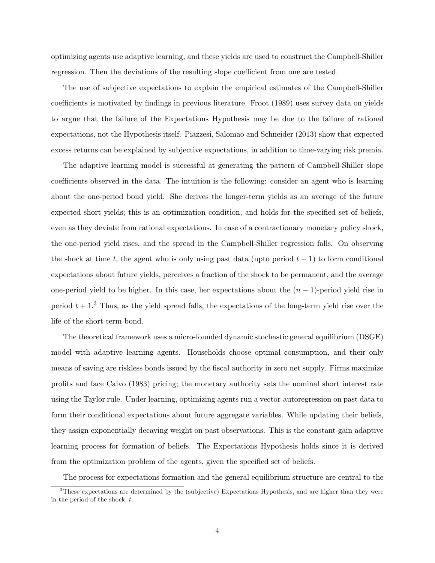optimizing agents use adaptive learning, and these yields are used to construct the Campbell-Shiller regression. Then the deviations of the resulting slope coefficient from one are tested.

The use of subjective expectations to explain the empirical estimates of the Campbell-Shiller coefficients is motivated by findings in previous literature. Froot (1989) uses survey data on yields to argue that the failure of the Expectations Hypothesis may be due to the failure of rational expectations, not the Hypothesis itself. Piazzesi, Salomao and Schneider (2013) show that expected excess returns can be explained by subjective expectations, in addition to time-varying risk premia.

The adaptive learning model is successful at generating the pattern of Campbell-Shiller slope coefficients observed in the data. The intuition is the following: consider an agent who is learning about the one-period bond yield. She derives the longer-term yields as an average of the future expected short yields; this is an optimization condition, and holds for the specified set of beliefs, even as they deviate from rational expectations. In case of a contractionary monetary policy shock, the one-period yield rises, and the spread in the Campbell-Shiller regression falls. On observing the shock at time t, the agent who is only using past data (upto period  $t-1$ ) to form conditional expectations about future yields, perceives a fraction of the shock to be permanent, and the average one-period yield to be higher. In this case, her expectations about the  $(n - 1)$ -period yield rise in period  $t + 1$ <sup>3</sup>. Thus, as the yield spread falls, the expectations of the long-term yield rise over the life of the short-term bond.

The theoretical framework uses a micro-founded dynamic stochastic general equilibrium (DSGE) model with adaptive learning agents. Households choose optimal consumption, and their only means of saving are riskless bonds issued by the fiscal authority in zero net supply. Firms maximize profits and face Calvo (1983) pricing; the monetary authority sets the nominal short interest rate using the Taylor rule. Under learning, optimizing agents run a vector-autoregression on past data to form their conditional expectations about future aggregate variables. While updating their beliefs, they assign exponentially decaying weight on past observations. This is the constant-gain adaptive learning process for formation of beliefs. The Expectations Hypothesis holds since it is derived from the optimization problem of the agents, given the specified set of beliefs.

The process for expectations formation and the general equilibrium structure are central to the

<sup>3</sup>These expectations are determined by the (subjective) Expectations Hypothesis, and are higher than they were in the period of the shock, t.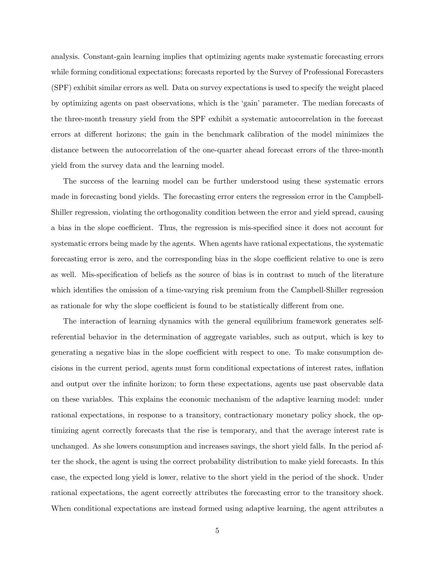analysis. Constant-gain learning implies that optimizing agents make systematic forecasting errors while forming conditional expectations; forecasts reported by the Survey of Professional Forecasters (SPF) exhibit similar errors as well. Data on survey expectations is used to specify the weight placed by optimizing agents on past observations, which is the 'gain' parameter. The median forecasts of the three-month treasury yield from the SPF exhibit a systematic autocorrelation in the forecast errors at different horizons; the gain in the benchmark calibration of the model minimizes the distance between the autocorrelation of the one-quarter ahead forecast errors of the three-month yield from the survey data and the learning model.

The success of the learning model can be further understood using these systematic errors made in forecasting bond yields. The forecasting error enters the regression error in the Campbell-Shiller regression, violating the orthogonality condition between the error and yield spread, causing a bias in the slope coefficient. Thus, the regression is mis-specified since it does not account for systematic errors being made by the agents. When agents have rational expectations, the systematic forecasting error is zero, and the corresponding bias in the slope coefficient relative to one is zero as well. Mis-specification of beliefs as the source of bias is in contrast to much of the literature which identifies the omission of a time-varying risk premium from the Campbell-Shiller regression as rationale for why the slope coefficient is found to be statistically different from one.

The interaction of learning dynamics with the general equilibrium framework generates selfreferential behavior in the determination of aggregate variables, such as output, which is key to generating a negative bias in the slope coefficient with respect to one. To make consumption decisions in the current period, agents must form conditional expectations of interest rates, inflation and output over the infinite horizon; to form these expectations, agents use past observable data on these variables. This explains the economic mechanism of the adaptive learning model: under rational expectations, in response to a transitory, contractionary monetary policy shock, the optimizing agent correctly forecasts that the rise is temporary, and that the average interest rate is unchanged. As she lowers consumption and increases savings, the short yield falls. In the period after the shock, the agent is using the correct probability distribution to make yield forecasts. In this case, the expected long yield is lower, relative to the short yield in the period of the shock. Under rational expectations, the agent correctly attributes the forecasting error to the transitory shock. When conditional expectations are instead formed using adaptive learning, the agent attributes a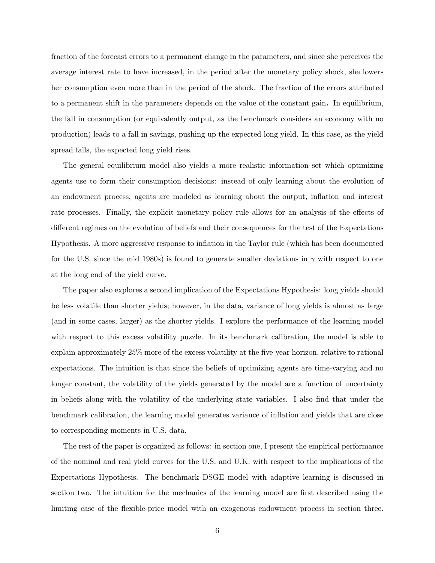fraction of the forecast errors to a permanent change in the parameters, and since she perceives the average interest rate to have increased, in the period after the monetary policy shock, she lowers her consumption even more than in the period of the shock. The fraction of the errors attributed to a permanent shift in the parameters depends on the value of the constant gain. In equilibrium, the fall in consumption (or equivalently output, as the benchmark considers an economy with no production) leads to a fall in savings, pushing up the expected long yield. In this case, as the yield spread falls, the expected long yield rises.

The general equilibrium model also yields a more realistic information set which optimizing agents use to form their consumption decisions: instead of only learning about the evolution of an endowment process, agents are modeled as learning about the output, ináation and interest rate processes. Finally, the explicit monetary policy rule allows for an analysis of the effects of different regimes on the evolution of beliefs and their consequences for the test of the Expectations Hypothesis. A more aggressive response to ináation in the Taylor rule (which has been documented for the U.S. since the mid 1980s) is found to generate smaller deviations in  $\gamma$  with respect to one at the long end of the yield curve.

The paper also explores a second implication of the Expectations Hypothesis: long yields should be less volatile than shorter yields; however, in the data, variance of long yields is almost as large (and in some cases, larger) as the shorter yields. I explore the performance of the learning model with respect to this excess volatility puzzle. In its benchmark calibration, the model is able to explain approximately 25% more of the excess volatility at the Öve-year horizon, relative to rational expectations. The intuition is that since the beliefs of optimizing agents are time-varying and no longer constant, the volatility of the yields generated by the model are a function of uncertainty in beliefs along with the volatility of the underlying state variables. I also find that under the benchmark calibration, the learning model generates variance of ináation and yields that are close to corresponding moments in U.S. data.

The rest of the paper is organized as follows: in section one, I present the empirical performance of the nominal and real yield curves for the U.S. and U.K. with respect to the implications of the Expectations Hypothesis. The benchmark DSGE model with adaptive learning is discussed in section two. The intuition for the mechanics of the learning model are first described using the limiting case of the flexible-price model with an exogenous endowment process in section three.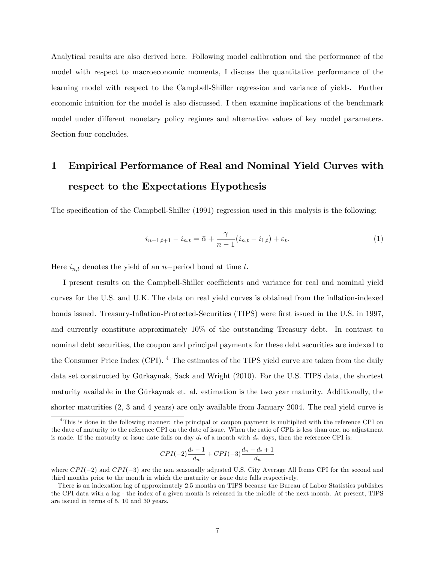Analytical results are also derived here. Following model calibration and the performance of the model with respect to macroeconomic moments, I discuss the quantitative performance of the learning model with respect to the Campbell-Shiller regression and variance of yields. Further economic intuition for the model is also discussed. I then examine implications of the benchmark model under different monetary policy regimes and alternative values of key model parameters. Section four concludes.

## 1 Empirical Performance of Real and Nominal Yield Curves with respect to the Expectations Hypothesis

The specification of the Campbell-Shiller (1991) regression used in this analysis is the following:

$$
i_{n-1,t+1} - i_{n,t} = \bar{\alpha} + \frac{\gamma}{n-1}(i_{n,t} - i_{1,t}) + \varepsilon_t.
$$
 (1)

Here  $i_{n,t}$  denotes the yield of an n-period bond at time t.

I present results on the Campbell-Shiller coefficients and variance for real and nominal yield curves for the U.S. and U.K. The data on real yield curves is obtained from the inflation-indexed bonds issued. Treasury-Inflation-Protected-Securities (TIPS) were first issued in the U.S. in 1997, and currently constitute approximately 10% of the outstanding Treasury debt. In contrast to nominal debt securities, the coupon and principal payments for these debt securities are indexed to the Consumer Price Index (CPI). <sup>4</sup> The estimates of the TIPS yield curve are taken from the daily data set constructed by Gürkaynak, Sack and Wright (2010). For the U.S. TIPS data, the shortest maturity available in the Gürkaynak et. al. estimation is the two year maturity. Additionally, the shorter maturities (2, 3 and 4 years) are only available from January 2004. The real yield curve is

$$
CPI(-2)\frac{d_t-1}{d_n} + CPI(-3)\frac{d_n-d_t+1}{d_n}
$$

where  $CPI(-2)$  and  $CPI(-3)$  are the non seasonally adjusted U.S. City Average All Items CPI for the second and third months prior to the month in which the maturity or issue date falls respectively.

<sup>4</sup>This is done in the following manner: the principal or coupon payment is multiplied with the reference CPI on the date of maturity to the reference CPI on the date of issue. When the ratio of CPIs is less than one, no adjustment is made. If the maturity or issue date falls on day  $d_t$  of a month with  $d_n$  days, then the reference CPI is:

There is an indexation lag of approximately 2:5 months on TIPS because the Bureau of Labor Statistics publishes the CPI data with a lag - the index of a given month is released in the middle of the next month. At present, TIPS are issued in terms of 5, 10 and 30 years.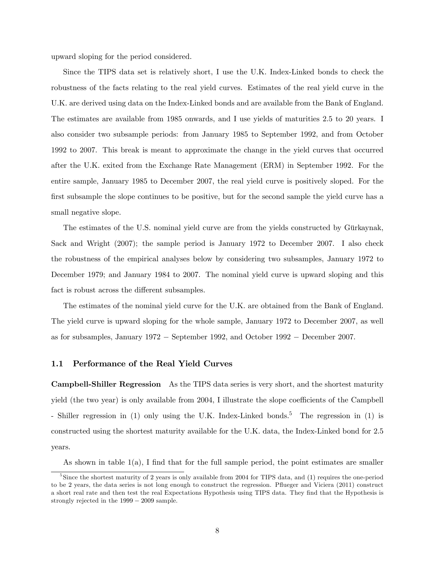upward sloping for the period considered.

Since the TIPS data set is relatively short, I use the U.K. Index-Linked bonds to check the robustness of the facts relating to the real yield curves. Estimates of the real yield curve in the U.K. are derived using data on the Index-Linked bonds and are available from the Bank of England. The estimates are available from 1985 onwards, and I use yields of maturities 2:5 to 20 years. I also consider two subsample periods: from January 1985 to September 1992, and from October 1992 to 2007. This break is meant to approximate the change in the yield curves that occurred after the U.K. exited from the Exchange Rate Management (ERM) in September 1992. For the entire sample, January 1985 to December 2007, the real yield curve is positively sloped. For the first subsample the slope continues to be positive, but for the second sample the yield curve has a small negative slope.

The estimates of the U.S. nominal yield curve are from the yields constructed by Gürkaynak, Sack and Wright (2007); the sample period is January 1972 to December 2007. I also check the robustness of the empirical analyses below by considering two subsamples, January 1972 to December 1979; and January 1984 to 2007. The nominal yield curve is upward sloping and this fact is robust across the different subsamples.

The estimates of the nominal yield curve for the U.K. are obtained from the Bank of England. The yield curve is upward sloping for the whole sample, January 1972 to December 2007, as well as for subsamples, January  $1972$  – September 1992, and October  $1992$  – December 2007.

#### 1.1 Performance of the Real Yield Curves

Campbell-Shiller Regression As the TIPS data series is very short, and the shortest maturity yield (the two year) is only available from 2004, I illustrate the slope coefficients of the Campbell - Shiller regression in (1) only using the U.K. Index-Linked bonds.<sup>5</sup> The regression in (1) is constructed using the shortest maturity available for the U.K. data, the Index-Linked bond for 2:5 years.

As shown in table  $1(a)$ , I find that for the full sample period, the point estimates are smaller

<sup>&</sup>lt;sup>5</sup>Since the shortest maturity of 2 years is only available from 2004 for TIPS data, and (1) requires the one-period to be 2 years, the data series is not long enough to construct the regression. Pflueger and Viciera (2011) construct a short real rate and then test the real Expectations Hypothesis using TIPS data. They Önd that the Hypothesis is strongly rejected in the  $1999 - 2009$  sample.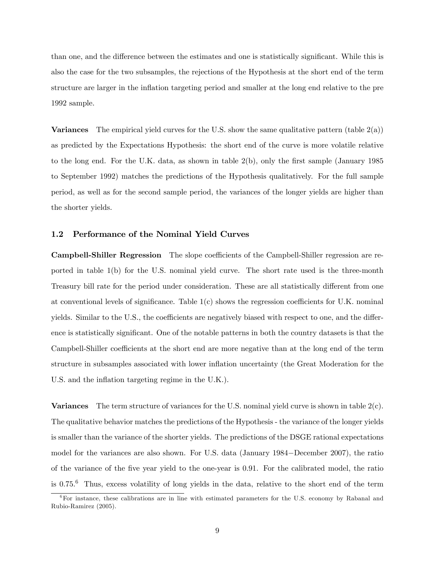than one, and the difference between the estimates and one is statistically significant. While this is also the case for the two subsamples, the rejections of the Hypothesis at the short end of the term structure are larger in the inflation targeting period and smaller at the long end relative to the pre 1992 sample.

**Variances** The empirical yield curves for the U.S. show the same qualitative pattern (table  $2(a)$ ) as predicted by the Expectations Hypothesis: the short end of the curve is more volatile relative to the long end. For the U.K. data, as shown in table  $2(b)$ , only the first sample (January 1985) to September 1992) matches the predictions of the Hypothesis qualitatively. For the full sample period, as well as for the second sample period, the variances of the longer yields are higher than the shorter yields.

#### 1.2 Performance of the Nominal Yield Curves

**Campbell-Shiller Regression** The slope coefficients of the Campbell-Shiller regression are reported in table 1(b) for the U.S. nominal yield curve. The short rate used is the three-month Treasury bill rate for the period under consideration. These are all statistically different from one at conventional levels of significance. Table  $1(c)$  shows the regression coefficients for U.K. nominal yields. Similar to the U.S., the coefficients are negatively biased with respect to one, and the difference is statistically significant. One of the notable patterns in both the country datasets is that the Campbell-Shiller coefficients at the short end are more negative than at the long end of the term structure in subsamples associated with lower inflation uncertainty (the Great Moderation for the U.S. and the inflation targeting regime in the U.K...

**Variances** The term structure of variances for the U.S. nominal yield curve is shown in table  $2(c)$ . The qualitative behavior matches the predictions of the Hypothesis - the variance of the longer yields is smaller than the variance of the shorter yields. The predictions of the DSGE rational expectations model for the variances are also shown. For U.S. data (January 1984–December 2007), the ratio of the variance of the Öve year yield to the one-year is 0:91. For the calibrated model, the ratio is  $0.75<sup>6</sup>$  Thus, excess volatility of long yields in the data, relative to the short end of the term

<sup>&</sup>lt;sup>6</sup>For instance, these calibrations are in line with estimated parameters for the U.S. economy by Rabanal and Rubio-Ramirez (2005).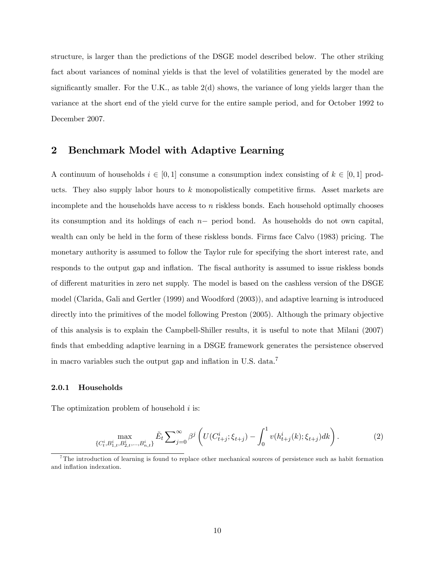structure, is larger than the predictions of the DSGE model described below. The other striking fact about variances of nominal yields is that the level of volatilities generated by the model are significantly smaller. For the U.K., as table  $2(d)$  shows, the variance of long yields larger than the variance at the short end of the yield curve for the entire sample period, and for October 1992 to December 2007.

## 2 Benchmark Model with Adaptive Learning

A continuum of households  $i \in [0, 1]$  consume a consumption index consisting of  $k \in [0, 1]$  products. They also supply labor hours to  $k$  monopolistically competitive firms. Asset markets are incomplete and the households have access to  $n$  riskless bonds. Each household optimally chooses its consumption and its holdings of each  $n-$  period bond. As households do not own capital, wealth can only be held in the form of these riskless bonds. Firms face Calvo (1983) pricing. The monetary authority is assumed to follow the Taylor rule for specifying the short interest rate, and responds to the output gap and inflation. The fiscal authority is assumed to issue riskless bonds of different maturities in zero net supply. The model is based on the cashless version of the DSGE model (Clarida, Gali and Gertler (1999) and Woodford (2003)), and adaptive learning is introduced directly into the primitives of the model following Preston (2005). Although the primary objective of this analysis is to explain the Campbell-Shiller results, it is useful to note that Milani (2007) finds that embedding adaptive learning in a DSGE framework generates the persistence observed in macro variables such the output gap and inflation in U.S. data.<sup>7</sup>

#### 2.0.1 Households

The optimization problem of household  $i$  is:

$$
\max_{\{C_t^i, B_{1,t}^i, B_{2,t}^i, \dots, B_{n,t}^i\}} \tilde{E}_t \sum_{j=0}^{\infty} \beta^j \left( U(C_{t+j}^i; \xi_{t+j}) - \int_0^1 v(h_{t+j}^i(k); \xi_{t+j}) dk \right). \tag{2}
$$

<sup>7</sup>The introduction of learning is found to replace other mechanical sources of persistence such as habit formation and inflation indexation.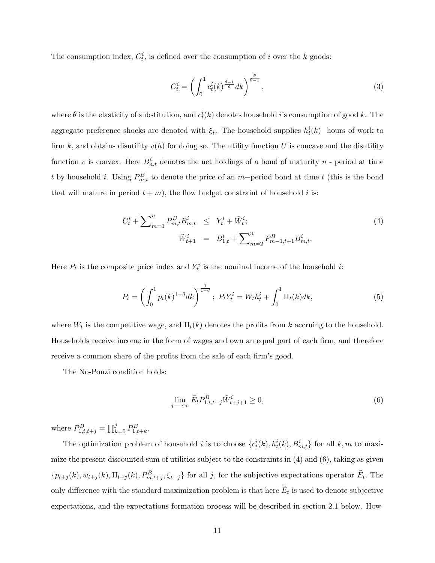The consumption index,  $C_t^i$ , is defined over the consumption of i over the k goods:

$$
C_t^i = \left(\int_0^1 c_t^i(k)^{\frac{\theta-1}{\theta}} dk\right)^{\frac{\theta}{\theta-1}},\tag{3}
$$

where  $\theta$  is the elasticity of substitution, and  $c_t^i(k)$  denotes household i's consumption of good k. The aggregate preference shocks are denoted with  $\xi_t$ . The household supplies  $h_t^i(k)$  hours of work to firm k, and obtains disutility  $v(h)$  for doing so. The utility function U is concave and the disutility function v is convex. Here  $B_{n,t}^i$  denotes the net holdings of a bond of maturity n - period at time t by household i. Using  $P_{m,t}^B$  to denote the price of an m-period bond at time t (this is the bond that will mature in period  $t + m$ , the flow budget constraint of household i is:

$$
C_t^i + \sum_{m=1}^n P_{m,t}^B B_{m,t}^i \leq Y_t^i + \tilde{W}_t^i; \n\tilde{W}_{t+1}^i = B_{1,t}^i + \sum_{m=2}^n P_{m-1,t+1}^B B_{m,t}^i.
$$
\n(4)

Here  $P_t$  is the composite price index and  $Y_t^i$  is the nominal income of the household *i*:

$$
P_t = \left(\int_0^1 p_t(k)^{1-\theta} dk\right)^{\frac{1}{1-\theta}}; \ P_t Y_t^i = W_t h_t^i + \int_0^1 \Pi_t(k) dk,\tag{5}
$$

where  $W_t$  is the competitive wage, and  $\Pi_t(k)$  denotes the profits from k accruing to the household. Households receive income in the form of wages and own an equal part of each firm, and therefore receive a common share of the profits from the sale of each firm's good.

The No-Ponzi condition holds:

$$
\lim_{j \to \infty} \tilde{E}_t P_{1,t,t+j}^B \tilde{W}_{t+j+1}^i \ge 0,\tag{6}
$$

where  $P_{1,t,t+j}^{B} = \prod_{k=0}^{j} P_{1,t+k}^{B}$ .

The optimization problem of household i is to choose  $\{c_t^i(k), h_t^i(k), B_{m,t}^i\}$  for all k, m to maximize the present discounted sum of utilities subject to the constraints in  $(4)$  and  $(6)$ , taking as given  $\{p_{t+j}(k), w_{t+j}(k), \Pi_{t+j}(k), P_{m,t+j}^B, \xi_{t+j}\}\$  for all j, for the subjective expectations operator  $\tilde{E}_t$ . The only difference with the standard maximization problem is that here  $\tilde{E}_{t}$  is used to denote subjective expectations, and the expectations formation process will be described in section 2:1 below. How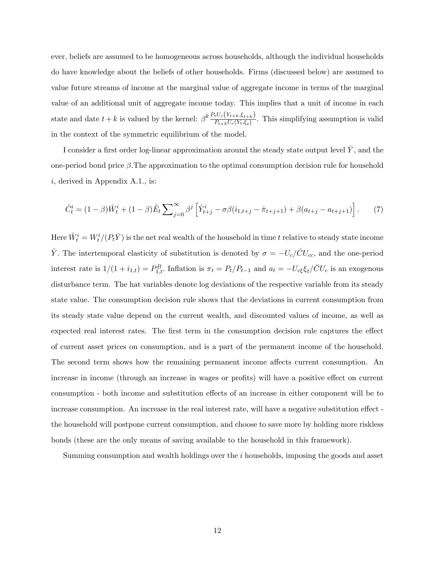ever, beliefs are assumed to be homogeneous across households, although the individual households do have knowledge about the beliefs of other households. Firms (discussed below) are assumed to value future streams of income at the marginal value of aggregate income in terms of the marginal value of an additional unit of aggregate income today. This implies that a unit of income in each state and date  $t+k$  is valued by the kernel:  $\beta^k \frac{P_t U_c(Y_{t+k}, \xi_{t+k})}{P_{t+1} U(t, \xi)}$  $\frac{VCC(1_{t+k}, S_t+k)}{P_{t+k}U_C(Y_t,\xi_t)}$ . This simplifying assumption is valid in the context of the symmetric equilibrium of the model.

I consider a first order log-linear approximation around the steady state output level  $\overline{Y}$ , and the one-period bond price  $\beta$ . The approximation to the optimal consumption decision rule for household  $i$ , derived in Appendix A.1., is:

$$
\hat{C}_t^i = (1 - \beta)\hat{W}_t^i + (1 - \beta)\tilde{E}_t \sum_{j=0}^{\infty} \beta^j \left[ \hat{Y}_{t+j}^i - \sigma\beta(\hat{\imath}_{1,t+j} - \hat{\pi}_{t+j+1}) + \beta(a_{t+j} - a_{t+j+1}) \right].
$$
 (7)

Here  $\hat{W}_t^i = W_t^i / (P_t \bar{Y})$  is the net real wealth of the household in time  $t$  relative to steady state income  $\bar{Y}$ . The intertemporal elasticity of substitution is denoted by  $\sigma = -U_c/\bar{C}U_{cc}$ , and the one-period interest rate is  $1/(1 + i_{1,t}) = P_{1,t}^B$ . Inflation is  $\pi_t = P_t/P_{t-1}$  and  $a_t = -U_{c\xi}\xi_t/\overline{C}U_c$  is an exogenous disturbance term. The hat variables denote log deviations of the respective variable from its steady state value. The consumption decision rule shows that the deviations in current consumption from its steady state value depend on the current wealth, and discounted values of income, as well as expected real interest rates. The first term in the consumption decision rule captures the effect of current asset prices on consumption, and is a part of the permanent income of the household. The second term shows how the remaining permanent income affects current consumption. An increase in income (through an increase in wages or profits) will have a positive effect on current consumption - both income and substitution effects of an increase in either component will be to increase consumption. An increase in the real interest rate, will have a negative substitution effect the household will postpone current consumption, and choose to save more by holding more riskless bonds (these are the only means of saving available to the household in this framework).

Summing consumption and wealth holdings over the i households, imposing the goods and asset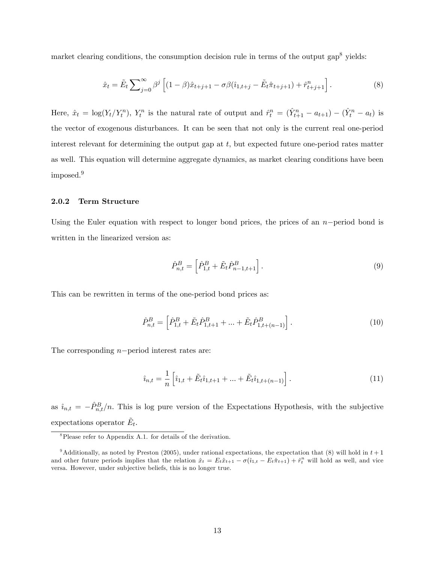market clearing conditions, the consumption decision rule in terms of the output gap<sup>8</sup> yields:

$$
\hat{x}_t = \tilde{E}_t \sum_{j=0}^{\infty} \beta^j \left[ (1-\beta)\hat{x}_{t+j+1} - \sigma\beta(\hat{i}_{1,t+j} - \tilde{E}_t \hat{\pi}_{t+j+1}) + \hat{r}_{t+j+1}^n \right]. \tag{8}
$$

Here,  $\hat{x}_t = \log(Y_t/Y_t^n)$ ,  $Y_t^n$  is the natural rate of output and  $\hat{r}_t^n = (\hat{Y}_{t+1}^n - a_{t+1}) - (\hat{Y}_t^n - a_t)$  is the vector of exogenous disturbances. It can be seen that not only is the current real one-period interest relevant for determining the output gap at t, but expected future one-period rates matter as well. This equation will determine aggregate dynamics, as market clearing conditions have been imposed.<sup>9</sup>

#### 2.0.2 Term Structure

Using the Euler equation with respect to longer bond prices, the prices of an  $n$ -period bond is written in the linearized version as:

$$
\hat{P}_{n,t}^{B} = \left[ \hat{P}_{1,t}^{B} + \tilde{E}_t \hat{P}_{n-1,t+1}^{B} \right].
$$
\n(9)

This can be rewritten in terms of the one-period bond prices as:

$$
\hat{P}_{n,t}^B = \left[ \hat{P}_{1,t}^B + \tilde{E}_t \hat{P}_{1,t+1}^B + \dots + \tilde{E}_t \hat{P}_{1,t+(n-1)}^B \right].
$$
\n(10)

The corresponding  $n$ -period interest rates are:

$$
\hat{i}_{n,t} = \frac{1}{n} \left[ \hat{i}_{1,t} + \tilde{E}_t \hat{i}_{1,t+1} + \dots + \tilde{E}_t \hat{i}_{1,t+(n-1)} \right]. \tag{11}
$$

as  $\hat{i}_{n,t} = -\hat{P}^B_{n,t}/n$ . This is log pure version of the Expectations Hypothesis, with the subjective expectations operator  $\tilde{E}_t$ .

<sup>8</sup>Please refer to Appendix A.1. for details of the derivation.

<sup>&</sup>lt;sup>9</sup>Additionally, as noted by Preston (2005), under rational expectations, the expectation that (8) will hold in  $t + 1$ and other future periods implies that the relation  $\hat{x}_t = E_t\hat{x}_{t+1} - \sigma(\hat{i}_{1,t} - E_t\hat{\pi}_{t+1}) + \hat{r}_t^n$  will hold as well, and vice versa. However, under subjective beliefs, this is no longer true.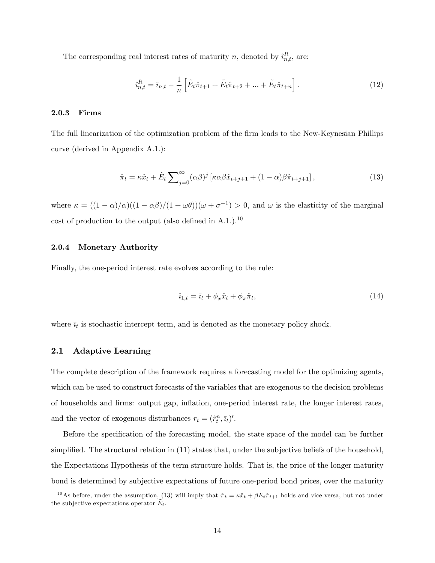The corresponding real interest rates of maturity n, denoted by  $\hat{i}_{n,t}^R$ , are:

$$
\hat{i}_{n,t}^R = \hat{i}_{n,t} - \frac{1}{n} \left[ \tilde{E}_t \hat{\pi}_{t+1} + \tilde{E}_t \hat{\pi}_{t+2} + \dots + \tilde{E}_t \hat{\pi}_{t+n} \right]. \tag{12}
$$

#### 2.0.3 Firms

The full linearization of the optimization problem of the firm leads to the New-Keynesian Phillips curve (derived in Appendix A.1.):

$$
\hat{\pi}_t = \kappa \hat{x}_t + \tilde{E}_t \sum_{j=0}^{\infty} (\alpha \beta)^j \left[ \kappa \alpha \beta \hat{x}_{t+j+1} + (1 - \alpha) \beta \hat{\pi}_{t+j+1} \right],\tag{13}
$$

where  $\kappa = ((1 - \alpha)/\alpha)((1 - \alpha\beta)/(1 + \omega\theta))(\omega + \sigma^{-1}) > 0$ , and  $\omega$  is the elasticity of the marginal cost of production to the output (also defined in A.1.).<sup>10</sup>

#### 2.0.4 Monetary Authority

Finally, the one-period interest rate evolves according to the rule:

$$
\hat{i}_{1,t} = \overline{i}_t + \phi_x \hat{x}_t + \phi_\pi \hat{\pi}_t,\tag{14}
$$

where  $\bar{i}_t$  is stochastic intercept term, and is denoted as the monetary policy shock.

#### 2.1 Adaptive Learning

The complete description of the framework requires a forecasting model for the optimizing agents, which can be used to construct forecasts of the variables that are exogenous to the decision problems of households and Örms: output gap, ináation, one-period interest rate, the longer interest rates, and the vector of exogenous disturbances  $r_t = (\hat{r}_t^n, \bar{i}_t)'$ .

Before the specification of the forecasting model, the state space of the model can be further simplified. The structural relation in  $(11)$  states that, under the subjective beliefs of the household, the Expectations Hypothesis of the term structure holds. That is, the price of the longer maturity bond is determined by subjective expectations of future one-period bond prices, over the maturity

<sup>&</sup>lt;sup>10</sup>As before, under the assumption, (13) will imply that  $\hat{\pi}_t = \kappa \hat{x}_t + \beta E_t \hat{\pi}_{t+1}$  holds and vice versa, but not under the subjective expectations operator  $\tilde{E}_t$ .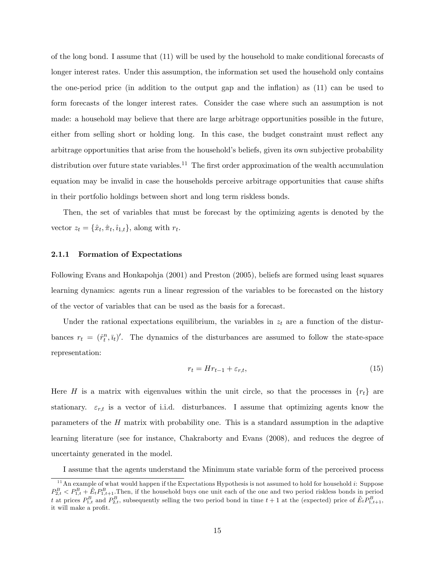of the long bond. I assume that (11) will be used by the household to make conditional forecasts of longer interest rates. Under this assumption, the information set used the household only contains the one-period price (in addition to the output gap and the inflation) as  $(11)$  can be used to form forecasts of the longer interest rates. Consider the case where such an assumption is not made: a household may believe that there are large arbitrage opportunities possible in the future, either from selling short or holding long. In this case, the budget constraint must reflect any arbitrage opportunities that arise from the household's beliefs, given its own subjective probability distribution over future state variables.<sup>11</sup> The first order approximation of the wealth accumulation equation may be invalid in case the households perceive arbitrage opportunities that cause shifts in their portfolio holdings between short and long term riskless bonds.

Then, the set of variables that must be forecast by the optimizing agents is denoted by the vector  $z_t = \{\hat{x}_t, \hat{\pi}_t, \hat{i}_{1,t}\},$  along with  $r_t$ .

#### 2.1.1 Formation of Expectations

Following Evans and Honkapohja (2001) and Preston (2005), beliefs are formed using least squares learning dynamics: agents run a linear regression of the variables to be forecasted on the history of the vector of variables that can be used as the basis for a forecast.

Under the rational expectations equilibrium, the variables in  $z_t$  are a function of the disturbances  $r_t = (\hat{r}_t^n, \bar{i}_t)'$ . The dynamics of the disturbances are assumed to follow the state-space representation:

$$
r_t = Hr_{t-1} + \varepsilon_{r,t},\tag{15}
$$

Here H is a matrix with eigenvalues within the unit circle, so that the processes in  ${r_t}$  are stationary.  $\varepsilon_{r,t}$  is a vector of i.i.d. disturbances. I assume that optimizing agents know the parameters of the  $H$  matrix with probability one. This is a standard assumption in the adaptive learning literature (see for instance, Chakraborty and Evans (2008), and reduces the degree of uncertainty generated in the model.

I assume that the agents understand the Minimum state variable form of the perceived process

 $11$ An example of what would happen if the Expectations Hypothesis is not assumed to hold for household i: Suppose  $P_{2,t}^B < P_{1,t}^B + \tilde{E}_t P_{1,t+1}^B$ . Then, if the household buys one unit each of the one and two period riskless bonds in period t at prices  $P_{1,t}^B$  and  $P_{2,t}^B$ , subsequently selling the two period bond in time  $t+1$  at the (expected) price of  $\tilde{E}_t P_{1,t+1}^B$ , it will make a profit.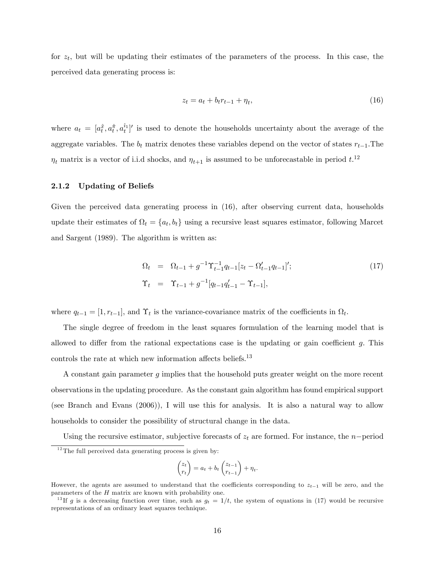for  $z_t$ , but will be updating their estimates of the parameters of the process. In this case, the perceived data generating process is:

$$
z_t = a_t + b_t r_{t-1} + \eta_t,\tag{16}
$$

where  $a_t = [a_t^{\hat{x}}, a_t^{\hat{\pi}}, a_t^{\hat{i}_1}]'$  is used to denote the households uncertainty about the average of the aggregate variables. The  $b_t$  matrix denotes these variables depend on the vector of states  $r_{t-1}$ . The  $\eta_t$  matrix is a vector of i.i.d shocks, and  $\eta_{t+1}$  is assumed to be unforecastable in period  $t$ .<sup>12</sup>

#### 2.1.2 Updating of Beliefs

Given the perceived data generating process in  $(16)$ , after observing current data, households update their estimates of  $\Omega_t = \{a_t, b_t\}$  using a recursive least squares estimator, following Marcet and Sargent (1989). The algorithm is written as:

$$
\Omega_t = \Omega_{t-1} + g^{-1} \Upsilon_{t-1}^{-1} q_{t-1} [z_t - \Omega'_{t-1} q_{t-1}]';
$$
\n
$$
\Upsilon_t = \Upsilon_{t-1} + g^{-1} [q_{t-1} q'_{t-1} - \Upsilon_{t-1}],
$$
\n(17)

where  $q_{t-1} = [1, r_{t-1}]$ , and  $\Upsilon_t$  is the variance-covariance matrix of the coefficients in  $\Omega_t$ .

The single degree of freedom in the least squares formulation of the learning model that is allowed to differ from the rational expectations case is the updating or gain coefficient  $g$ . This controls the rate at which new information affects beliefs.<sup>13</sup>

A constant gain parameter g implies that the household puts greater weight on the more recent observations in the updating procedure. As the constant gain algorithm has found empirical support (see Branch and Evans (2006)), I will use this for analysis. It is also a natural way to allow households to consider the possibility of structural change in the data.

Using the recursive estimator, subjective forecasts of  $z_t$  are formed. For instance, the *n*-period  $12$ The full perceived data generating process is given by:

$$
\begin{pmatrix} z_t \\ r_t \end{pmatrix} = a_t + b_t \begin{pmatrix} z_{t-1} \\ r_{t-1} \end{pmatrix} + \eta_t.
$$

However, the agents are assumed to understand that the coefficients corresponding to  $z_{t-1}$  will be zero, and the parameters of the  $H$  matrix are known with probability one.

<sup>&</sup>lt;sup>13</sup>If g is a decreasing function over time, such as  $g_t = 1/t$ , the system of equations in (17) would be recursive representations of an ordinary least squares technique.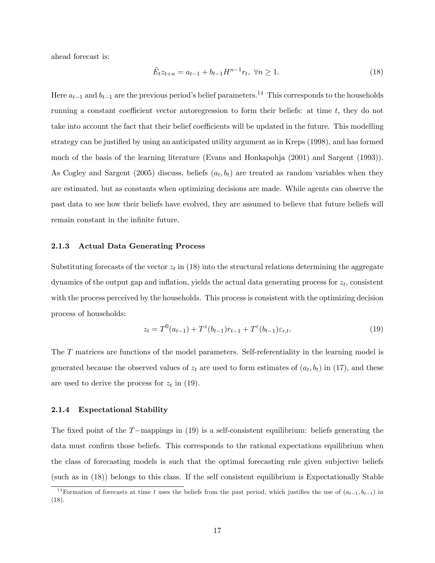ahead forecast is:

$$
\tilde{E}_t z_{t+n} = a_{t-1} + b_{t-1} H^{n-1} r_t, \ \forall n \ge 1.
$$
\n(18)

Here  $a_{t-1}$  and  $b_{t-1}$  are the previous period's belief parameters.<sup>14</sup> This corresponds to the households running a constant coefficient vector autoregression to form their beliefs: at time  $t$ , they do not take into account the fact that their belief coefficients will be updated in the future. This modelling strategy can be justified by using an anticipated utility argument as in Kreps (1998), and has formed much of the basis of the learning literature (Evans and Honkapohja (2001) and Sargent (1993)). As Cogley and Sargent (2005) discuss, beliefs  $(a_t, b_t)$  are treated as random variables when they are estimated, but as constants when optimizing decisions are made. While agents can observe the past data to see how their beliefs have evolved, they are assumed to believe that future beliefs will remain constant in the infinite future.

#### 2.1.3 Actual Data Generating Process

Substituting forecasts of the vector  $z_t$  in (18) into the structural relations determining the aggregate dynamics of the output gap and inflation, yields the actual data generating process for  $z_t$ , consistent with the process perceived by the households. This process is consistent with the optimizing decision process of households:

$$
z_t = T^0(a_{t-1}) + T^z(b_{t-1})r_{t-1} + T^{\varepsilon}(b_{t-1})\varepsilon_{r,t}.
$$
\n(19)

The T matrices are functions of the model parameters. Self-referentiality in the learning model is generated because the observed values of  $z_t$  are used to form estimates of  $(a_t, b_t)$  in (17), and these are used to derive the process for  $z_t$  in (19).

#### 2.1.4 Expectational Stability

The fixed point of the T-mappings in  $(19)$  is a self-consistent equilibrium: beliefs generating the data must confirm those beliefs. This corresponds to the rational expectations equilibrium when the class of forecasting models is such that the optimal forecasting rule given subjective beliefs (such as in (18)) belongs to this class. If the self consistent equilibrium is Expectationally Stable

<sup>&</sup>lt;sup>14</sup>Formation of forecasts at time t uses the beliefs from the past period, which justifies the use of  $(a_{t-1}, b_{t-1})$  in (18).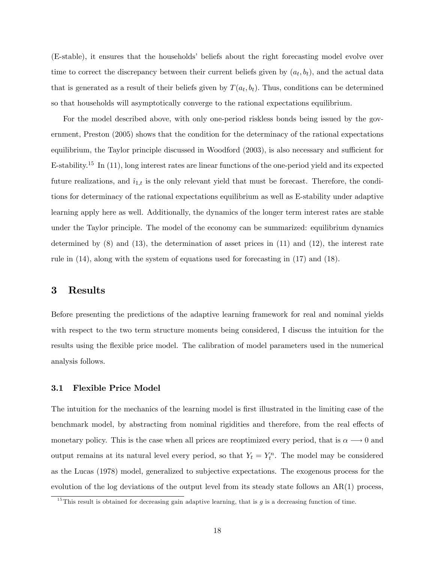(E-stable), it ensures that the householdsí beliefs about the right forecasting model evolve over time to correct the discrepancy between their current beliefs given by  $(a_t, b_t)$ , and the actual data that is generated as a result of their beliefs given by  $T(a_t, b_t)$ . Thus, conditions can be determined so that households will asymptotically converge to the rational expectations equilibrium.

For the model described above, with only one-period riskless bonds being issued by the government, Preston (2005) shows that the condition for the determinacy of the rational expectations equilibrium, the Taylor principle discussed in Woodford (2003), is also necessary and sufficient for E-stability.<sup>15</sup> In (11), long interest rates are linear functions of the one-period yield and its expected future realizations, and  $\hat{i}_{1,t}$  is the only relevant yield that must be forecast. Therefore, the conditions for determinacy of the rational expectations equilibrium as well as E-stability under adaptive learning apply here as well. Additionally, the dynamics of the longer term interest rates are stable under the Taylor principle. The model of the economy can be summarized: equilibrium dynamics determined by (8) and (13), the determination of asset prices in (11) and (12), the interest rate rule in (14), along with the system of equations used for forecasting in (17) and (18).

### 3 Results

Before presenting the predictions of the adaptive learning framework for real and nominal yields with respect to the two term structure moments being considered, I discuss the intuition for the results using the flexible price model. The calibration of model parameters used in the numerical analysis follows.

#### 3.1 Flexible Price Model

The intuition for the mechanics of the learning model is first illustrated in the limiting case of the benchmark model, by abstracting from nominal rigidities and therefore, from the real effects of monetary policy. This is the case when all prices are reoptimized every period, that is  $\alpha \longrightarrow 0$  and output remains at its natural level every period, so that  $Y_t = Y_t^n$ . The model may be considered as the Lucas (1978) model, generalized to subjective expectations. The exogenous process for the evolution of the log deviations of the output level from its steady state follows an AR(1) process,

<sup>&</sup>lt;sup>15</sup>This result is obtained for decreasing gain adaptive learning, that is  $g$  is a decreasing function of time.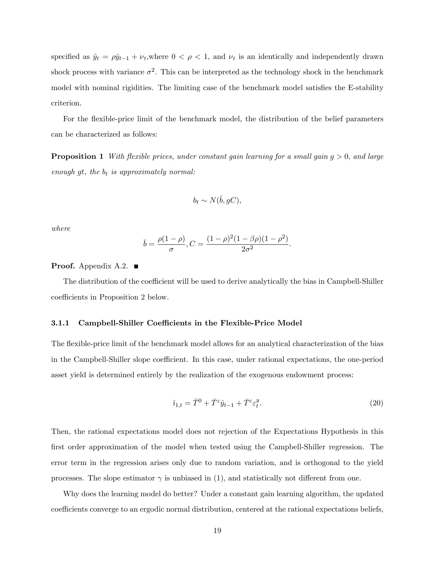specified as  $\hat{y}_t = \rho \hat{y}_{t-1} + \nu_t$ , where  $0 < \rho < 1$ , and  $\nu_t$  is an identically and independently drawn shock process with variance  $\sigma^2$ . This can be interpreted as the technology shock in the benchmark model with nominal rigidities. The limiting case of the benchmark model satisfies the E-stability criterion.

For the flexible-price limit of the benchmark model, the distribution of the belief parameters can be characterized as follows:

**Proposition 1** With flexible prices, under constant gain learning for a small gain  $g > 0$ , and large enough  $gt$ , the  $b_t$  is approximately normal:

$$
b_t \sim N(\bar{b}, gC),
$$

where

$$
\bar{b} = \frac{\rho(1-\rho)}{\sigma}, C = \frac{(1-\rho)^2(1-\beta\rho)(1-\rho^2)}{2\sigma^2}.
$$

**Proof.** Appendix A.2.  $\blacksquare$ 

The distribution of the coefficient will be used to derive analytically the bias in Campbell-Shiller coefficients in Proposition 2 below.

#### 3.1.1 Campbell-Shiller Coefficients in the Flexible-Price Model

The flexible-price limit of the benchmark model allows for an analytical characterization of the bias in the Campbell-Shiller slope coefficient. In this case, under rational expectations, the one-period asset yield is determined entirely by the realization of the exogenous endowment process:

$$
\hat{u}_{1,t} = \bar{T}^0 + \bar{T}^z \hat{y}_{t-1} + \bar{T}^\varepsilon \varepsilon_t^y. \tag{20}
$$

Then, the rational expectations model does not rejection of the Expectations Hypothesis in this first order approximation of the model when tested using the Campbell-Shiller regression. The error term in the regression arises only due to random variation, and is orthogonal to the yield processes. The slope estimator  $\gamma$  is unbiased in (1), and statistically not different from one.

Why does the learning model do better? Under a constant gain learning algorithm, the updated coefficients converge to an ergodic normal distribution, centered at the rational expectations beliefs,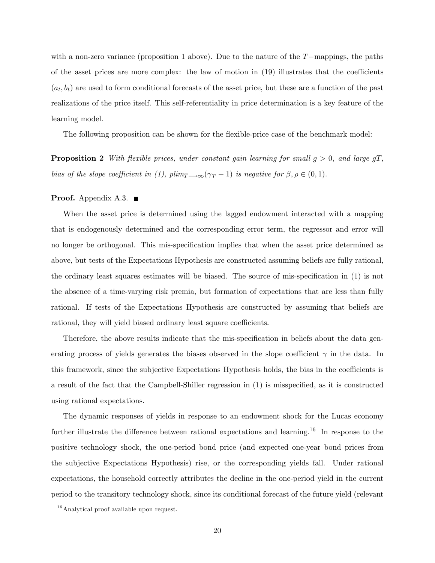with a non-zero variance (proposition 1 above). Due to the nature of the  $T$ -mappings, the paths of the asset prices are more complex: the law of motion in  $(19)$  illustrates that the coefficients  $(a_t, b_t)$  are used to form conditional forecasts of the asset price, but these are a function of the past realizations of the price itself. This self-referentiality in price determination is a key feature of the learning model.

The following proposition can be shown for the flexible-price case of the benchmark model:

**Proposition 2** With flexible prices, under constant gain learning for small  $g > 0$ , and large  $gT$ , bias of the slope coefficient in (1),  $plim_{T\rightarrow\infty}(\gamma_T-1)$  is negative for  $\beta, \rho \in (0,1)$ .

#### **Proof.** Appendix A.3.  $\blacksquare$

When the asset price is determined using the lagged endowment interacted with a mapping that is endogenously determined and the corresponding error term, the regressor and error will no longer be orthogonal. This mis-specification implies that when the asset price determined as above, but tests of the Expectations Hypothesis are constructed assuming beliefs are fully rational, the ordinary least squares estimates will be biased. The source of mis-specification in  $(1)$  is not the absence of a time-varying risk premia, but formation of expectations that are less than fully rational. If tests of the Expectations Hypothesis are constructed by assuming that beliefs are rational, they will yield biased ordinary least square coefficients.

Therefore, the above results indicate that the mis-specification in beliefs about the data generating process of yields generates the biases observed in the slope coefficient  $\gamma$  in the data. In this framework, since the subjective Expectations Hypothesis holds, the bias in the coefficients is a result of the fact that the Campbell-Shiller regression in  $(1)$  is misspecified, as it is constructed using rational expectations.

The dynamic responses of yields in response to an endowment shock for the Lucas economy further illustrate the difference between rational expectations and learning.<sup>16</sup> In response to the positive technology shock, the one-period bond price (and expected one-year bond prices from the subjective Expectations Hypothesis) rise, or the corresponding yields fall. Under rational expectations, the household correctly attributes the decline in the one-period yield in the current period to the transitory technology shock, since its conditional forecast of the future yield (relevant

<sup>16</sup>Analytical proof available upon request.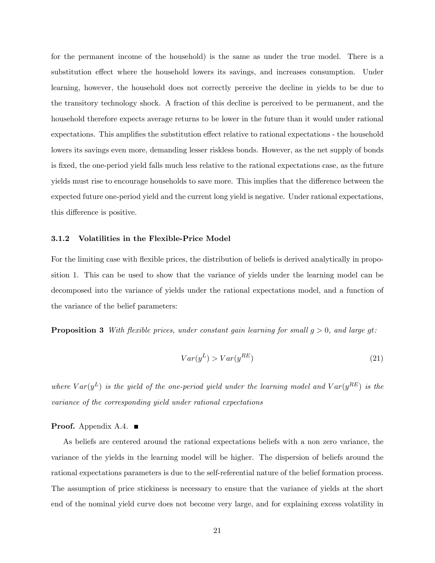for the permanent income of the household) is the same as under the true model. There is a substitution effect where the household lowers its savings, and increases consumption. Under learning, however, the household does not correctly perceive the decline in yields to be due to the transitory technology shock. A fraction of this decline is perceived to be permanent, and the household therefore expects average returns to be lower in the future than it would under rational expectations. This amplifies the substitution effect relative to rational expectations - the household lowers its savings even more, demanding lesser riskless bonds. However, as the net supply of bonds is Öxed, the one-period yield falls much less relative to the rational expectations case, as the future yields must rise to encourage households to save more. This implies that the difference between the expected future one-period yield and the current long yield is negative. Under rational expectations, this difference is positive.

#### 3.1.2 Volatilities in the Flexible-Price Model

For the limiting case with flexible prices, the distribution of beliefs is derived analytically in proposition 1. This can be used to show that the variance of yields under the learning model can be decomposed into the variance of yields under the rational expectations model, and a function of the variance of the belief parameters:

**Proposition 3** With flexible prices, under constant gain learning for small  $q > 0$ , and large gt:

$$
Var(y^L) > Var(y^{RE})
$$
\n(21)

where  $Var(y^L)$  is the yield of the one-period yield under the learning model and  $Var(y^{RE})$  is the variance of the corresponding yield under rational expectations

#### **Proof.** Appendix A.4.  $\blacksquare$

As beliefs are centered around the rational expectations beliefs with a non zero variance, the variance of the yields in the learning model will be higher. The dispersion of beliefs around the rational expectations parameters is due to the self-referential nature of the belief formation process. The assumption of price stickiness is necessary to ensure that the variance of yields at the short end of the nominal yield curve does not become very large, and for explaining excess volatility in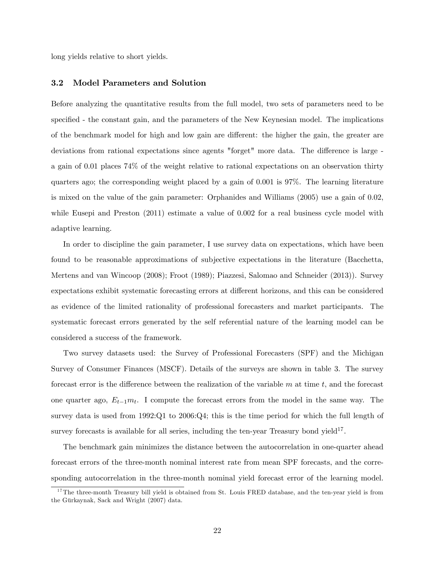long yields relative to short yields.

#### 3.2 Model Parameters and Solution

Before analyzing the quantitative results from the full model, two sets of parameters need to be specified - the constant gain, and the parameters of the New Keynesian model. The implications of the benchmark model for high and low gain are different: the higher the gain, the greater are deviations from rational expectations since agents "forget" more data. The difference is large a gain of 0:01 places 74% of the weight relative to rational expectations on an observation thirty quarters ago; the corresponding weight placed by a gain of 0:001 is 97%. The learning literature is mixed on the value of the gain parameter: Orphanides and Williams (2005) use a gain of 0:02, while Eusepi and Preston (2011) estimate a value of 0.002 for a real business cycle model with adaptive learning.

In order to discipline the gain parameter, I use survey data on expectations, which have been found to be reasonable approximations of subjective expectations in the literature (Bacchetta, Mertens and van Wincoop (2008); Froot (1989); Piazzesi, Salomao and Schneider (2013)). Survey expectations exhibit systematic forecasting errors at different horizons, and this can be considered as evidence of the limited rationality of professional forecasters and market participants. The systematic forecast errors generated by the self referential nature of the learning model can be considered a success of the framework.

Two survey datasets used: the Survey of Professional Forecasters (SPF) and the Michigan Survey of Consumer Finances (MSCF). Details of the surveys are shown in table 3. The survey forecast error is the difference between the realization of the variable  $m$  at time  $t$ , and the forecast one quarter ago,  $E_{t-1}m_t$ . I compute the forecast errors from the model in the same way. The survey data is used from 1992:Q1 to 2006:Q4; this is the time period for which the full length of survey forecasts is available for all series, including the ten-year Treasury bond yield<sup>17</sup>.

The benchmark gain minimizes the distance between the autocorrelation in one-quarter ahead forecast errors of the three-month nominal interest rate from mean SPF forecasts, and the corresponding autocorrelation in the three-month nominal yield forecast error of the learning model.

<sup>&</sup>lt;sup>17</sup>The three-month Treasury bill yield is obtained from St. Louis FRED database, and the ten-year yield is from the Gürkaynak, Sack and Wright (2007) data.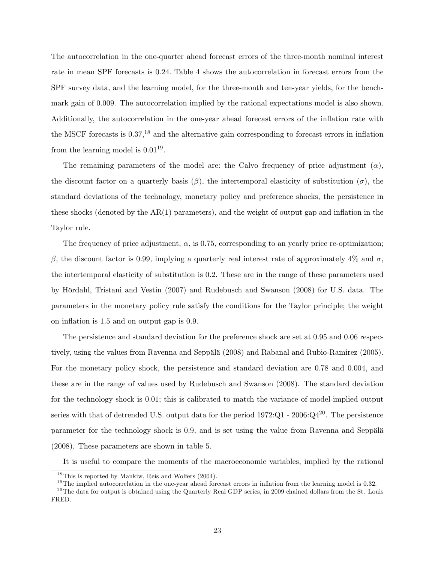The autocorrelation in the one-quarter ahead forecast errors of the three-month nominal interest rate in mean SPF forecasts is 0.24. Table 4 shows the autocorrelation in forecast errors from the SPF survey data, and the learning model, for the three-month and ten-year yields, for the benchmark gain of 0:009. The autocorrelation implied by the rational expectations model is also shown. Additionally, the autocorrelation in the one-year ahead forecast errors of the inflation rate with the MSCF forecasts is  $0.37<sup>18</sup>$  and the alternative gain corresponding to forecast errors in inflation from the learning model is  $0.01^{19}$ .

The remaining parameters of the model are: the Calvo frequency of price adjustment  $(\alpha)$ , the discount factor on a quarterly basis  $(\beta)$ , the intertemporal elasticity of substitution  $(\sigma)$ , the standard deviations of the technology, monetary policy and preference shocks, the persistence in these shocks (denoted by the  $AR(1)$  parameters), and the weight of output gap and inflation in the Taylor rule.

The frequency of price adjustment,  $\alpha$ , is 0.75, corresponding to an yearly price re-optimization;  $\beta$ , the discount factor is 0.99, implying a quarterly real interest rate of approximately 4% and  $\sigma$ . the intertemporal elasticity of substitution is 0:2. These are in the range of these parameters used by Hördahl, Tristani and Vestin (2007) and Rudebusch and Swanson (2008) for U.S. data. The parameters in the monetary policy rule satisfy the conditions for the Taylor principle; the weight on inflation is 1.5 and on output gap is 0.9.

The persistence and standard deviation for the preference shock are set at 0:95 and 0:06 respectively, using the values from Ravenna and Seppälä (2008) and Rabanal and Rubio-Ramirez (2005). For the monetary policy shock, the persistence and standard deviation are 0:78 and 0:004, and these are in the range of values used by Rudebusch and Swanson (2008). The standard deviation for the technology shock is 0:01; this is calibrated to match the variance of model-implied output series with that of detrended U.S. output data for the period  $1972:Q1$  -  $2006:Q4^{20}$ . The persistence parameter for the technology shock is 0.9, and is set using the value from Ravenna and Seppälä (2008). These parameters are shown in table 5.

It is useful to compare the moments of the macroeconomic variables, implied by the rational

<sup>&</sup>lt;sup>18</sup>This is reported by Mankiw, Reis and Wolfers (2004).

<sup>&</sup>lt;sup>19</sup>The implied autocorrelation in the one-year ahead forecast errors in inflation from the learning model is 0.32.

 $^{20}$ The data for output is obtained using the Quarterly Real GDP series, in 2009 chained dollars from the St. Louis FRED.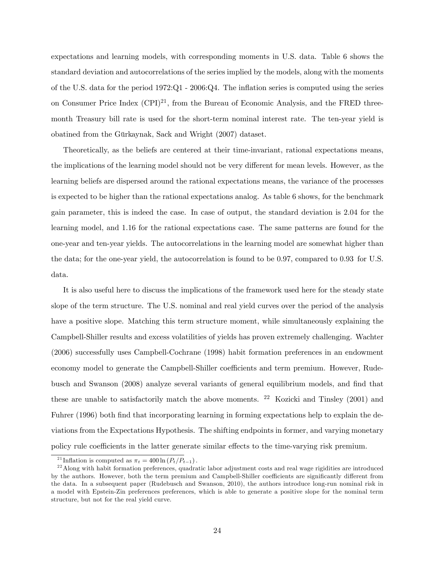expectations and learning models, with corresponding moments in U.S. data. Table 6 shows the standard deviation and autocorrelations of the series implied by the models, along with the moments of the U.S. data for the period  $1972:Q1 - 2006:Q4$ . The inflation series is computed using the series on Consumer Price Index  $(CPI)^{21}$ , from the Bureau of Economic Analysis, and the FRED threemonth Treasury bill rate is used for the short-term nominal interest rate. The ten-year yield is obatined from the Gürkaynak, Sack and Wright (2007) dataset.

Theoretically, as the beliefs are centered at their time-invariant, rational expectations means, the implications of the learning model should not be very different for mean levels. However, as the learning beliefs are dispersed around the rational expectations means, the variance of the processes is expected to be higher than the rational expectations analog. As table 6 shows, for the benchmark gain parameter, this is indeed the case. In case of output, the standard deviation is 2:04 for the learning model, and 1:16 for the rational expectations case. The same patterns are found for the one-year and ten-year yields. The autocorrelations in the learning model are somewhat higher than the data; for the one-year yield, the autocorrelation is found to be 0:97, compared to 0:93 for U.S. data.

It is also useful here to discuss the implications of the framework used here for the steady state slope of the term structure. The U.S. nominal and real yield curves over the period of the analysis have a positive slope. Matching this term structure moment, while simultaneously explaining the Campbell-Shiller results and excess volatilities of yields has proven extremely challenging. Wachter (2006) successfully uses Campbell-Cochrane (1998) habit formation preferences in an endowment economy model to generate the Campbell-Shiller coefficients and term premium. However, Rudebusch and Swanson (2008) analyze several variants of general equilibrium models, and find that these are unable to satisfactorily match the above moments.  $22$  Kozicki and Tinsley (2001) and Fuhrer (1996) both find that incorporating learning in forming expectations help to explain the deviations from the Expectations Hypothesis. The shifting endpoints in former, and varying monetary policy rule coefficients in the latter generate similar effects to the time-varying risk premium.

<sup>&</sup>lt;sup>21</sup> Inflation is computed as  $\pi_t = 400 \ln (P_t/P_{t-1}).$ 

 $^{22}$ Along with habit formation preferences, quadratic labor adjustment costs and real wage rigidities are introduced by the authors. However, both the term premium and Campbell-Shiller coefficients are significantly different from the data. In a subsequent paper (Rudebusch and Swanson, 2010), the authors introduce long-run nominal risk in a model with Epstein-Zin preferences preferences, which is able to generate a positive slope for the nominal term structure, but not for the real yield curve.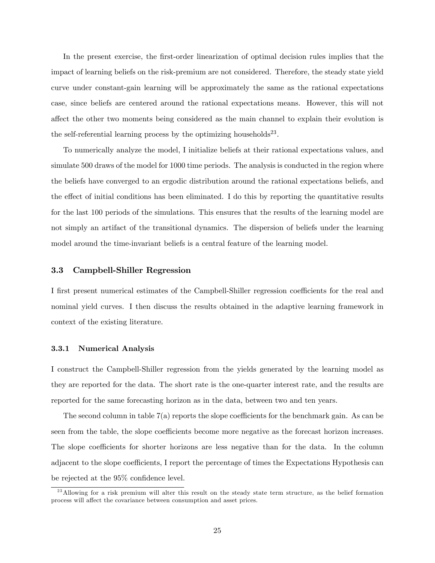In the present exercise, the first-order linearization of optimal decision rules implies that the impact of learning beliefs on the risk-premium are not considered. Therefore, the steady state yield curve under constant-gain learning will be approximately the same as the rational expectations case, since beliefs are centered around the rational expectations means. However, this will not affect the other two moments being considered as the main channel to explain their evolution is the self-referential learning process by the optimizing households<sup>23</sup>.

To numerically analyze the model, I initialize beliefs at their rational expectations values, and simulate 500 draws of the model for 1000 time periods. The analysis is conducted in the region where the beliefs have converged to an ergodic distribution around the rational expectations beliefs, and the effect of initial conditions has been eliminated. I do this by reporting the quantitative results for the last 100 periods of the simulations. This ensures that the results of the learning model are not simply an artifact of the transitional dynamics. The dispersion of beliefs under the learning model around the time-invariant beliefs is a central feature of the learning model.

#### 3.3 Campbell-Shiller Regression

I first present numerical estimates of the Campbell-Shiller regression coefficients for the real and nominal yield curves. I then discuss the results obtained in the adaptive learning framework in context of the existing literature.

#### 3.3.1 Numerical Analysis

I construct the Campbell-Shiller regression from the yields generated by the learning model as they are reported for the data. The short rate is the one-quarter interest rate, and the results are reported for the same forecasting horizon as in the data, between two and ten years.

The second column in table  $7(a)$  reports the slope coefficients for the benchmark gain. As can be seen from the table, the slope coefficients become more negative as the forecast horizon increases. The slope coefficients for shorter horizons are less negative than for the data. In the column adjacent to the slope coefficients, I report the percentage of times the Expectations Hypothesis can be rejected at the 95% confidence level.

 $^{23}$ Allowing for a risk premium will alter this result on the steady state term structure, as the belief formation process will affect the covariance between consumption and asset prices.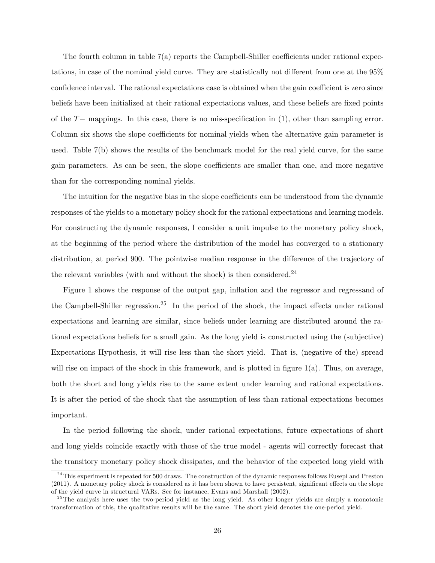The fourth column in table  $7(a)$  reports the Campbell-Shiller coefficients under rational expectations, in case of the nominal yield curve. They are statistically not different from one at the  $95\%$ confidence interval. The rational expectations case is obtained when the gain coefficient is zero since beliefs have been initialized at their rational expectations values, and these beliefs are fixed points of the  $T-$  mappings. In this case, there is no mis-specification in (1), other than sampling error. Column six shows the slope coefficients for nominal yields when the alternative gain parameter is used. Table 7(b) shows the results of the benchmark model for the real yield curve, for the same gain parameters. As can be seen, the slope coefficients are smaller than one, and more negative than for the corresponding nominal yields.

The intuition for the negative bias in the slope coefficients can be understood from the dynamic responses of the yields to a monetary policy shock for the rational expectations and learning models. For constructing the dynamic responses, I consider a unit impulse to the monetary policy shock, at the beginning of the period where the distribution of the model has converged to a stationary distribution, at period 900. The pointwise median response in the difference of the trajectory of the relevant variables (with and without the shock) is then considered.<sup>24</sup>

Figure 1 shows the response of the output gap, inflation and the regressor and regressand of the Campbell-Shiller regression.<sup>25</sup> In the period of the shock, the impact effects under rational expectations and learning are similar, since beliefs under learning are distributed around the rational expectations beliefs for a small gain. As the long yield is constructed using the (subjective) Expectations Hypothesis, it will rise less than the short yield. That is, (negative of the) spread will rise on impact of the shock in this framework, and is plotted in figure  $1(a)$ . Thus, on average, both the short and long yields rise to the same extent under learning and rational expectations. It is after the period of the shock that the assumption of less than rational expectations becomes important.

In the period following the shock, under rational expectations, future expectations of short and long yields coincide exactly with those of the true model - agents will correctly forecast that the transitory monetary policy shock dissipates, and the behavior of the expected long yield with

 $^{24}$ This experiment is repeated for 500 draws. The construction of the dynamic responses follows Eusepi and Preston  $(2011)$ . A monetary policy shock is considered as it has been shown to have persistent, significant effects on the slope of the yield curve in structural VARs. See for instance, Evans and Marshall (2002).

 $^{25}$ The analysis here uses the two-period yield as the long yield. As other longer yields are simply a monotonic transformation of this, the qualitative results will be the same. The short yield denotes the one-period yield.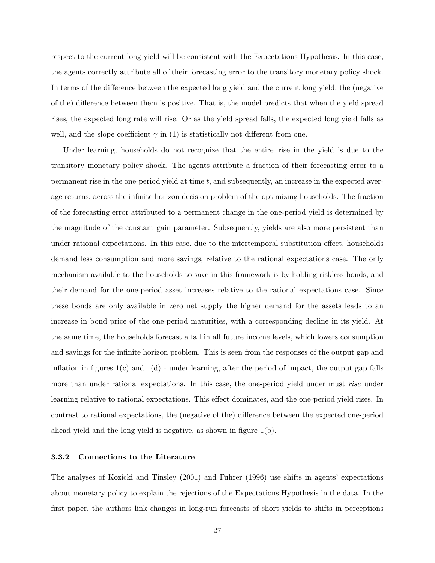respect to the current long yield will be consistent with the Expectations Hypothesis. In this case, the agents correctly attribute all of their forecasting error to the transitory monetary policy shock. In terms of the difference between the expected long yield and the current long yield, the (negative of the) difference between them is positive. That is, the model predicts that when the yield spread rises, the expected long rate will rise. Or as the yield spread falls, the expected long yield falls as well, and the slope coefficient  $\gamma$  in (1) is statistically not different from one.

Under learning, households do not recognize that the entire rise in the yield is due to the transitory monetary policy shock. The agents attribute a fraction of their forecasting error to a permanent rise in the one-period yield at time  $t$ , and subsequently, an increase in the expected average returns, across the infinite horizon decision problem of the optimizing households. The fraction of the forecasting error attributed to a permanent change in the one-period yield is determined by the magnitude of the constant gain parameter. Subsequently, yields are also more persistent than under rational expectations. In this case, due to the intertemporal substitution effect, households demand less consumption and more savings, relative to the rational expectations case. The only mechanism available to the households to save in this framework is by holding riskless bonds, and their demand for the one-period asset increases relative to the rational expectations case. Since these bonds are only available in zero net supply the higher demand for the assets leads to an increase in bond price of the one-period maturities, with a corresponding decline in its yield. At the same time, the households forecast a fall in all future income levels, which lowers consumption and savings for the infinite horizon problem. This is seen from the responses of the output gap and inflation in figures  $1(c)$  and  $1(d)$  - under learning, after the period of impact, the output gap falls more than under rational expectations. In this case, the one-period yield under must rise under learning relative to rational expectations. This effect dominates, and the one-period yield rises. In contrast to rational expectations, the (negative of the) difference between the expected one-period ahead yield and the long yield is negative, as shown in figure  $1(b)$ .

#### 3.3.2 Connections to the Literature

The analyses of Kozicki and Tinsley (2001) and Fuhrer (1996) use shifts in agentsí expectations about monetary policy to explain the rejections of the Expectations Hypothesis in the data. In the first paper, the authors link changes in long-run forecasts of short yields to shifts in perceptions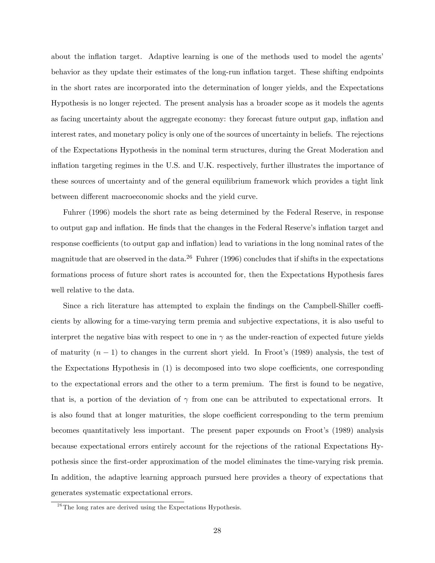about the inflation target. Adaptive learning is one of the methods used to model the agents' behavior as they update their estimates of the long-run ináation target. These shifting endpoints in the short rates are incorporated into the determination of longer yields, and the Expectations Hypothesis is no longer rejected. The present analysis has a broader scope as it models the agents as facing uncertainty about the aggregate economy: they forecast future output gap, inflation and interest rates, and monetary policy is only one of the sources of uncertainty in beliefs. The rejections of the Expectations Hypothesis in the nominal term structures, during the Great Moderation and inflation targeting regimes in the U.S. and U.K. respectively, further illustrates the importance of these sources of uncertainty and of the general equilibrium framework which provides a tight link between different macroeconomic shocks and the yield curve.

Fuhrer (1996) models the short rate as being determined by the Federal Reserve, in response to output gap and inflation. He finds that the changes in the Federal Reserve's inflation target and response coefficients (to output gap and inflation) lead to variations in the long nominal rates of the magnitude that are observed in the data.<sup>26</sup> Fuhrer (1996) concludes that if shifts in the expectations formations process of future short rates is accounted for, then the Expectations Hypothesis fares well relative to the data.

Since a rich literature has attempted to explain the findings on the Campbell-Shiller coefficients by allowing for a time-varying term premia and subjective expectations, it is also useful to interpret the negative bias with respect to one in  $\gamma$  as the under-reaction of expected future yields of maturity  $(n - 1)$  to changes in the current short yield. In Froot's (1989) analysis, the test of the Expectations Hypothesis in  $(1)$  is decomposed into two slope coefficients, one corresponding to the expectational errors and the other to a term premium. The first is found to be negative, that is, a portion of the deviation of  $\gamma$  from one can be attributed to expectational errors. It is also found that at longer maturities, the slope coefficient corresponding to the term premium becomes quantitatively less important. The present paper expounds on Froot's (1989) analysis because expectational errors entirely account for the rejections of the rational Expectations Hypothesis since the Örst-order approximation of the model eliminates the time-varying risk premia. In addition, the adaptive learning approach pursued here provides a theory of expectations that generates systematic expectational errors.

 $^{26}$ The long rates are derived using the Expectations Hypothesis.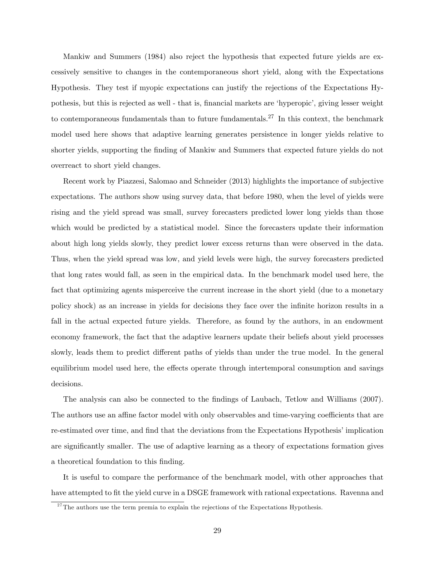Mankiw and Summers (1984) also reject the hypothesis that expected future yields are excessively sensitive to changes in the contemporaneous short yield, along with the Expectations Hypothesis. They test if myopic expectations can justify the rejections of the Expectations Hypothesis, but this is rejected as well - that is, Önancial markets are ëhyperopicí, giving lesser weight to contemporaneous fundamentals than to future fundamentals.<sup>27</sup> In this context, the benchmark model used here shows that adaptive learning generates persistence in longer yields relative to shorter yields, supporting the finding of Mankiw and Summers that expected future yields do not overreact to short yield changes.

Recent work by Piazzesi, Salomao and Schneider (2013) highlights the importance of subjective expectations. The authors show using survey data, that before 1980, when the level of yields were rising and the yield spread was small, survey forecasters predicted lower long yields than those which would be predicted by a statistical model. Since the forecasters update their information about high long yields slowly, they predict lower excess returns than were observed in the data. Thus, when the yield spread was low, and yield levels were high, the survey forecasters predicted that long rates would fall, as seen in the empirical data. In the benchmark model used here, the fact that optimizing agents misperceive the current increase in the short yield (due to a monetary policy shock) as an increase in yields for decisions they face over the infinite horizon results in a fall in the actual expected future yields. Therefore, as found by the authors, in an endowment economy framework, the fact that the adaptive learners update their beliefs about yield processes slowly, leads them to predict different paths of yields than under the true model. In the general equilibrium model used here, the effects operate through intertemporal consumption and savings decisions.

The analysis can also be connected to the findings of Laubach, Tetlow and Williams (2007). The authors use an affine factor model with only observables and time-varying coefficients that are re-estimated over time, and find that the deviations from the Expectations Hypothesis' implication are significantly smaller. The use of adaptive learning as a theory of expectations formation gives a theoretical foundation to this finding.

It is useful to compare the performance of the benchmark model, with other approaches that have attempted to fit the yield curve in a DSGE framework with rational expectations. Ravenna and

 $27$ The authors use the term premia to explain the rejections of the Expectations Hypothesis.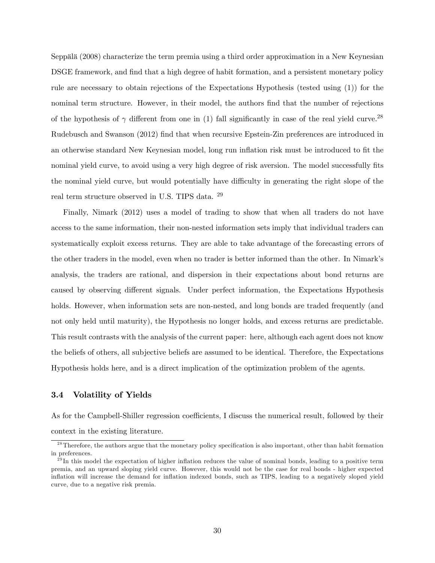Seppälä (2008) characterize the term premia using a third order approximation in a New Keynesian DSGE framework, and find that a high degree of habit formation, and a persistent monetary policy rule are necessary to obtain rejections of the Expectations Hypothesis (tested using (1)) for the nominal term structure. However, in their model, the authors find that the number of rejections of the hypothesis of  $\gamma$  different from one in (1) fall significantly in case of the real yield curve.<sup>28</sup> Rudebusch and Swanson (2012) find that when recursive Epstein-Zin preferences are introduced in an otherwise standard New Keynesian model, long run inflation risk must be introduced to fit the nominal yield curve, to avoid using a very high degree of risk aversion. The model successfully fits the nominal yield curve, but would potentially have difficulty in generating the right slope of the real term structure observed in U.S. TIPS data. <sup>29</sup>

Finally, Nimark (2012) uses a model of trading to show that when all traders do not have access to the same information, their non-nested information sets imply that individual traders can systematically exploit excess returns. They are able to take advantage of the forecasting errors of the other traders in the model, even when no trader is better informed than the other. In Nimarkís analysis, the traders are rational, and dispersion in their expectations about bond returns are caused by observing different signals. Under perfect information, the Expectations Hypothesis holds. However, when information sets are non-nested, and long bonds are traded frequently (and not only held until maturity), the Hypothesis no longer holds, and excess returns are predictable. This result contrasts with the analysis of the current paper: here, although each agent does not know the beliefs of others, all subjective beliefs are assumed to be identical. Therefore, the Expectations Hypothesis holds here, and is a direct implication of the optimization problem of the agents.

#### 3.4 Volatility of Yields

As for the Campbell-Shiller regression coefficients, I discuss the numerical result, followed by their

context in the existing literature.

<sup>&</sup>lt;sup>28</sup>Therefore, the authors argue that the monetary policy specification is also important, other than habit formation in preferences.

 $2^{29}$ In this model the expectation of higher inflation reduces the value of nominal bonds, leading to a positive term premia, and an upward sloping yield curve. However, this would not be the case for real bonds - higher expected inflation will increase the demand for inflation indexed bonds, such as TIPS, leading to a negatively sloped yield curve, due to a negative risk premia.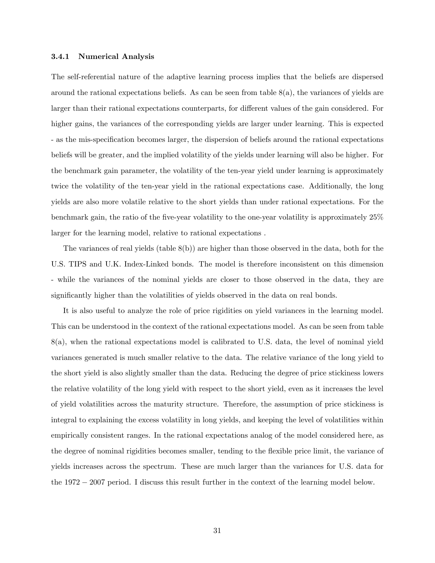#### 3.4.1 Numerical Analysis

The self-referential nature of the adaptive learning process implies that the beliefs are dispersed around the rational expectations beliefs. As can be seen from table  $8(a)$ , the variances of yields are larger than their rational expectations counterparts, for different values of the gain considered. For higher gains, the variances of the corresponding yields are larger under learning. This is expected - as the mis-specification becomes larger, the dispersion of beliefs around the rational expectations beliefs will be greater, and the implied volatility of the yields under learning will also be higher. For the benchmark gain parameter, the volatility of the ten-year yield under learning is approximately twice the volatility of the ten-year yield in the rational expectations case. Additionally, the long yields are also more volatile relative to the short yields than under rational expectations. For the benchmark gain, the ratio of the Öve-year volatility to the one-year volatility is approximately 25% larger for the learning model, relative to rational expectations .

The variances of real yields (table 8(b)) are higher than those observed in the data, both for the U.S. TIPS and U.K. Index-Linked bonds. The model is therefore inconsistent on this dimension - while the variances of the nominal yields are closer to those observed in the data, they are significantly higher than the volatilities of yields observed in the data on real bonds.

It is also useful to analyze the role of price rigidities on yield variances in the learning model. This can be understood in the context of the rational expectations model. As can be seen from table 8(a), when the rational expectations model is calibrated to U.S. data, the level of nominal yield variances generated is much smaller relative to the data. The relative variance of the long yield to the short yield is also slightly smaller than the data. Reducing the degree of price stickiness lowers the relative volatility of the long yield with respect to the short yield, even as it increases the level of yield volatilities across the maturity structure. Therefore, the assumption of price stickiness is integral to explaining the excess volatility in long yields, and keeping the level of volatilities within empirically consistent ranges. In the rational expectations analog of the model considered here, as the degree of nominal rigidities becomes smaller, tending to the flexible price limit, the variance of yields increases across the spectrum. These are much larger than the variances for U.S. data for the 1972 – 2007 period. I discuss this result further in the context of the learning model below.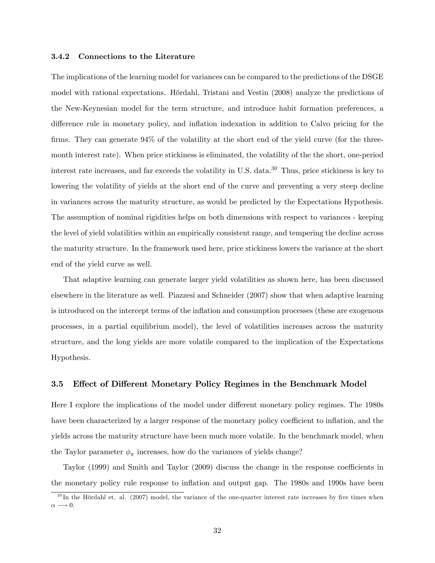#### 3.4.2 Connections to the Literature

The implications of the learning model for variances can be compared to the predictions of the DSGE model with rational expectations. Hördahl, Tristani and Vestin (2008) analyze the predictions of the New-Keynesian model for the term structure, and introduce habit formation preferences, a difference rule in monetary policy, and inflation indexation in addition to Calvo pricing for the firms. They can generate 94% of the volatility at the short end of the yield curve (for the threemonth interest rate). When price stickiness is eliminated, the volatility of the the short, one-period interest rate increases, and far exceeds the volatility in U.S. data.<sup>30</sup> Thus, price stickiness is key to lowering the volatility of yields at the short end of the curve and preventing a very steep decline in variances across the maturity structure, as would be predicted by the Expectations Hypothesis. The assumption of nominal rigidities helps on both dimensions with respect to variances - keeping the level of yield volatilities within an empirically consistent range, and tempering the decline across the maturity structure. In the framework used here, price stickiness lowers the variance at the short end of the yield curve as well.

That adaptive learning can generate larger yield volatilities as shown here, has been discussed elsewhere in the literature as well. Piazzesi and Schneider (2007) show that when adaptive learning is introduced on the intercept terms of the ináation and consumption processes (these are exogenous processes, in a partial equilibrium model), the level of volatilities increases across the maturity structure, and the long yields are more volatile compared to the implication of the Expectations Hypothesis.

#### 3.5 Effect of Different Monetary Policy Regimes in the Benchmark Model

Here I explore the implications of the model under different monetary policy regimes. The 1980s have been characterized by a larger response of the monetary policy coefficient to inflation, and the yields across the maturity structure have been much more volatile. In the benchmark model, when the Taylor parameter  $\phi_{\pi}$  increases, how do the variances of yields change?

Taylor  $(1999)$  and Smith and Taylor  $(2009)$  discuss the change in the response coefficients in the monetary policy rule response to ináation and output gap. The 1980s and 1990s have been

 $30$  In the Hördahl et. al. (2007) model, the variance of the one-quarter interest rate increases by five times when  $\alpha \longrightarrow 0.$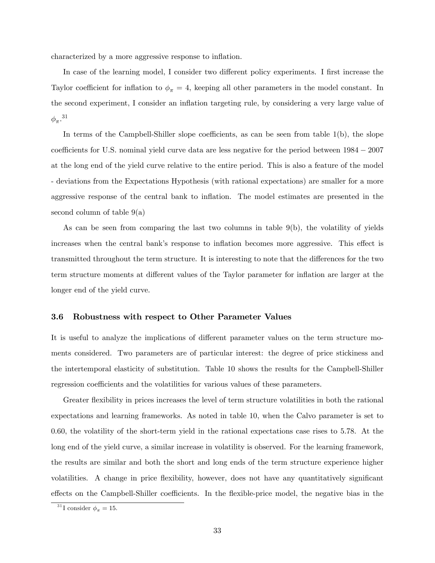characterized by a more aggressive response to inflation.

In case of the learning model, I consider two different policy experiments. I first increase the Taylor coefficient for inflation to  $\phi_{\pi} = 4$ , keeping all other parameters in the model constant. In the second experiment, I consider an ináation targeting rule, by considering a very large value of  $\phi_\pi.^{31}$ 

In terms of the Campbell-Shiller slope coefficients, as can be seen from table  $1(b)$ , the slope coefficients for U.S. nominal yield curve data are less negative for the period between  $1984 - 2007$ at the long end of the yield curve relative to the entire period. This is also a feature of the model - deviations from the Expectations Hypothesis (with rational expectations) are smaller for a more aggressive response of the central bank to inflation. The model estimates are presented in the second column of table  $9(a)$ 

As can be seen from comparing the last two columns in table 9(b), the volatility of yields increases when the central bank's response to inflation becomes more aggressive. This effect is transmitted throughout the term structure. It is interesting to note that the differences for the two term structure moments at different values of the Taylor parameter for inflation are larger at the longer end of the yield curve.

#### 3.6 Robustness with respect to Other Parameter Values

It is useful to analyze the implications of different parameter values on the term structure moments considered. Two parameters are of particular interest: the degree of price stickiness and the intertemporal elasticity of substitution. Table 10 shows the results for the Campbell-Shiller regression coefficients and the volatilities for various values of these parameters.

Greater flexibility in prices increases the level of term structure volatilities in both the rational expectations and learning frameworks. As noted in table 10, when the Calvo parameter is set to 0:60, the volatility of the short-term yield in the rational expectations case rises to 5:78. At the long end of the yield curve, a similar increase in volatility is observed. For the learning framework, the results are similar and both the short and long ends of the term structure experience higher volatilities. A change in price flexibility, however, does not have any quantitatively significant effects on the Campbell-Shiller coefficients. In the flexible-price model, the negative bias in the

<sup>&</sup>lt;sup>31</sup>I consider  $\phi_{\pi} = 15$ .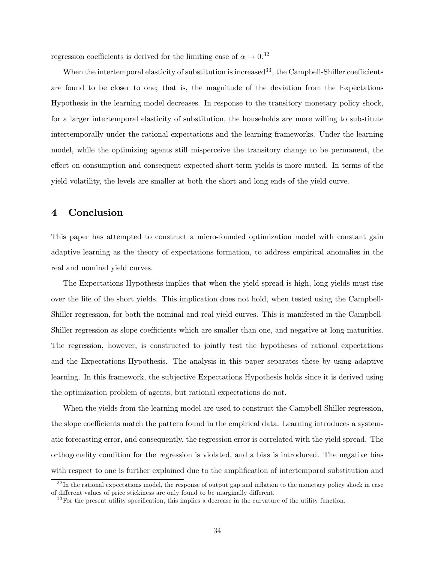regression coefficients is derived for the limiting case of  $\alpha \to 0.32$ 

When the intertemporal elasticity of substitution is increased  $33$ , the Campbell-Shiller coefficients are found to be closer to one; that is, the magnitude of the deviation from the Expectations Hypothesis in the learning model decreases. In response to the transitory monetary policy shock, for a larger intertemporal elasticity of substitution, the households are more willing to substitute intertemporally under the rational expectations and the learning frameworks. Under the learning model, while the optimizing agents still misperceive the transitory change to be permanent, the effect on consumption and consequent expected short-term yields is more muted. In terms of the yield volatility, the levels are smaller at both the short and long ends of the yield curve.

## 4 Conclusion

This paper has attempted to construct a micro-founded optimization model with constant gain adaptive learning as the theory of expectations formation, to address empirical anomalies in the real and nominal yield curves.

The Expectations Hypothesis implies that when the yield spread is high, long yields must rise over the life of the short yields. This implication does not hold, when tested using the Campbell-Shiller regression, for both the nominal and real yield curves. This is manifested in the Campbell-Shiller regression as slope coefficients which are smaller than one, and negative at long maturities. The regression, however, is constructed to jointly test the hypotheses of rational expectations and the Expectations Hypothesis. The analysis in this paper separates these by using adaptive learning. In this framework, the subjective Expectations Hypothesis holds since it is derived using the optimization problem of agents, but rational expectations do not.

When the yields from the learning model are used to construct the Campbell-Shiller regression, the slope coefficients match the pattern found in the empirical data. Learning introduces a systematic forecasting error, and consequently, the regression error is correlated with the yield spread. The orthogonality condition for the regression is violated, and a bias is introduced. The negative bias with respect to one is further explained due to the amplification of intertemporal substitution and

 $32$ In the rational expectations model, the response of output gap and inflation to the monetary policy shock in case of different values of price stickiness are only found to be marginally different.

 $33$  For the present utility specification, this implies a decrease in the curvature of the utility function.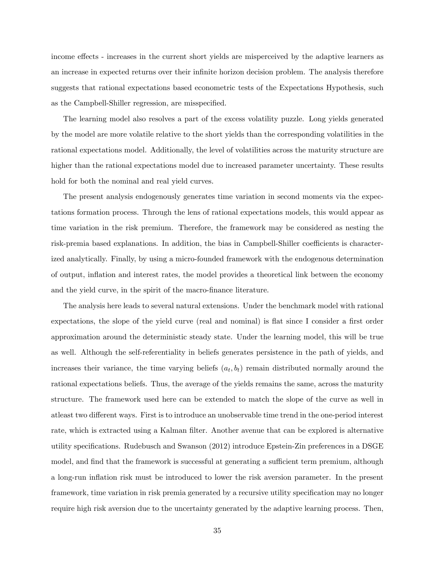income effects - increases in the current short yields are misperceived by the adaptive learners as an increase in expected returns over their infinite horizon decision problem. The analysis therefore suggests that rational expectations based econometric tests of the Expectations Hypothesis, such as the Campbell-Shiller regression, are misspecified.

The learning model also resolves a part of the excess volatility puzzle. Long yields generated by the model are more volatile relative to the short yields than the corresponding volatilities in the rational expectations model. Additionally, the level of volatilities across the maturity structure are higher than the rational expectations model due to increased parameter uncertainty. These results hold for both the nominal and real yield curves.

The present analysis endogenously generates time variation in second moments via the expectations formation process. Through the lens of rational expectations models, this would appear as time variation in the risk premium. Therefore, the framework may be considered as nesting the risk-premia based explanations. In addition, the bias in Campbell-Shiller coefficients is characterized analytically. Finally, by using a micro-founded framework with the endogenous determination of output, ináation and interest rates, the model provides a theoretical link between the economy and the yield curve, in the spirit of the macro-finance literature.

The analysis here leads to several natural extensions. Under the benchmark model with rational expectations, the slope of the yield curve (real and nominal) is flat since I consider a first order approximation around the deterministic steady state. Under the learning model, this will be true as well. Although the self-referentiality in beliefs generates persistence in the path of yields, and increases their variance, the time varying beliefs  $(a_t, b_t)$  remain distributed normally around the rational expectations beliefs. Thus, the average of the yields remains the same, across the maturity structure. The framework used here can be extended to match the slope of the curve as well in at least two different ways. First is to introduce an unobservable time trend in the one-period interest rate, which is extracted using a Kalman filter. Another avenue that can be explored is alternative utility specifications. Rudebusch and Swanson (2012) introduce Epstein-Zin preferences in a DSGE model, and find that the framework is successful at generating a sufficient term premium, although a long-run inflation risk must be introduced to lower the risk aversion parameter. In the present framework, time variation in risk premia generated by a recursive utility specification may no longer require high risk aversion due to the uncertainty generated by the adaptive learning process. Then,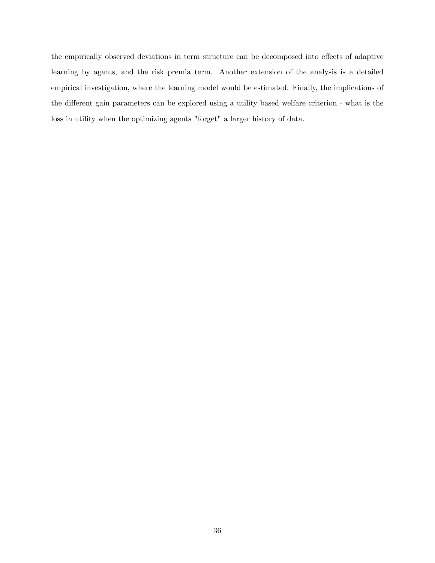the empirically observed deviations in term structure can be decomposed into effects of adaptive learning by agents, and the risk premia term. Another extension of the analysis is a detailed empirical investigation, where the learning model would be estimated. Finally, the implications of the different gain parameters can be explored using a utility based welfare criterion - what is the loss in utility when the optimizing agents "forget" a larger history of data.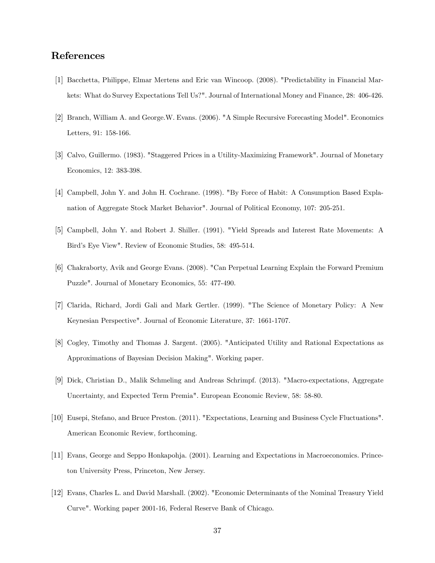## References

- [1] Bacchetta, Philippe, Elmar Mertens and Eric van Wincoop. (2008). "Predictability in Financial Markets: What do Survey Expectations Tell Us?". Journal of International Money and Finance, 28: 406-426.
- [2] Branch, William A. and George.W. Evans. (2006). "A Simple Recursive Forecasting Model". Economics Letters, 91: 158-166.
- [3] Calvo, Guillermo. (1983). "Staggered Prices in a Utility-Maximizing Framework". Journal of Monetary Economics, 12: 383-398.
- [4] Campbell, John Y. and John H. Cochrane. (1998). "By Force of Habit: A Consumption Based Explanation of Aggregate Stock Market Behavior". Journal of Political Economy, 107: 205-251.
- [5] Campbell, John Y. and Robert J. Shiller. (1991). "Yield Spreads and Interest Rate Movements: A Bird's Eye View". Review of Economic Studies, 58: 495-514.
- [6] Chakraborty, Avik and George Evans. (2008). "Can Perpetual Learning Explain the Forward Premium Puzzle". Journal of Monetary Economics, 55: 477-490.
- [7] Clarida, Richard, Jordi Gali and Mark Gertler. (1999). "The Science of Monetary Policy: A New Keynesian Perspective". Journal of Economic Literature, 37: 1661-1707.
- [8] Cogley, Timothy and Thomas J. Sargent. (2005). "Anticipated Utility and Rational Expectations as Approximations of Bayesian Decision Making". Working paper.
- [9] Dick, Christian D., Malik Schmeling and Andreas Schrimpf. (2013). "Macro-expectations, Aggregate Uncertainty, and Expected Term Premia". European Economic Review, 58: 58-80.
- [10] Eusepi, Stefano, and Bruce Preston. (2011). "Expectations, Learning and Business Cycle Fluctuations". American Economic Review, forthcoming.
- [11] Evans, George and Seppo Honkapohja. (2001). Learning and Expectations in Macroeconomics. Princeton University Press, Princeton, New Jersey.
- [12] Evans, Charles L. and David Marshall. (2002). "Economic Determinants of the Nominal Treasury Yield Curve". Working paper 2001-16, Federal Reserve Bank of Chicago.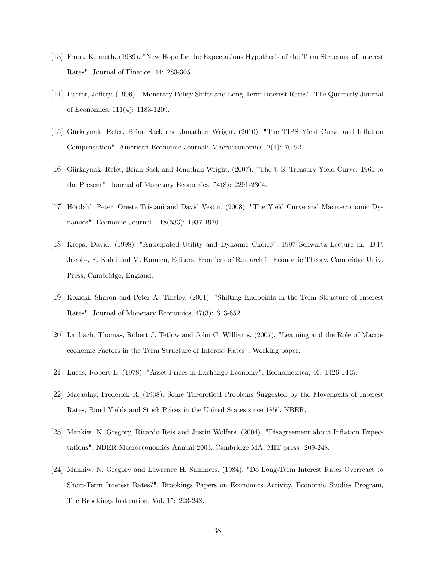- [13] Froot, Kenneth. (1989). "New Hope for the Expectations Hypothesis of the Term Structure of Interest Rates". Journal of Finance, 44: 283-305.
- [14] Fuhrer, Jeffery. (1996). "Monetary Policy Shifts and Long-Term Interest Rates". The Quarterly Journal of Economics, 111(4): 1183-1209.
- [15] Gürkaynak, Refet, Brian Sack and Jonathan Wright. (2010). "The TIPS Yield Curve and Inflation Compensation". American Economic Journal: Macroeconomics, 2(1): 70-92.
- [16] Gürkaynak, Refet, Brian Sack and Jonathan Wright. (2007). "The U.S. Treasury Yield Curve: 1961 to the Present". Journal of Monetary Economics, 54(8): 2291-2304.
- [17] Hördahl, Peter, Oreste Tristani and David Vestin. (2008). "The Yield Curve and Macroeconomic Dynamics". Economic Journal, 118(533): 1937-1970.
- [18] Kreps, David. (1998). "Anticipated Utility and Dynamic Choice". 1997 Schwartz Lecture in: D.P. Jacobs, E. Kalai and M. Kamien, Editors, Frontiers of Research in Economic Theory, Cambridge Univ. Press, Cambridge, England.
- [19] Kozicki, Sharon and Peter A. Tinsley. (2001). "Shifting Endpoints in the Term Structure of Interest Rates". Journal of Monetary Economics, 47(3): 613-652.
- [20] Laubach, Thomas, Robert J. Tetlow and John C. Williams. (2007). "Learning and the Role of Macroeconomic Factors in the Term Structure of Interest Rates". Working paper.
- [21] Lucas, Robert E. (1978). "Asset Prices in Exchange Economy", Econometrica, 46: 1426-1445.
- [22] Macaulay, Frederick R. (1938). Some Theoretical Problems Suggested by the Movements of Interest Rates, Bond Yields and Stock Prices in the United States since 1856. NBER.
- [23] Mankiw, N. Gregory, Ricardo Reis and Justin Wolfers. (2004). "Disagreement about Ináation Expectations". NBER Macroeconomics Annual 2003, Cambridge MA, MIT press: 209-248.
- [24] Mankiw, N. Gregory and Lawrence H. Summers. (1984). "Do Long-Term Interest Rates Overreact to Short-Term Interest Rates?". Brookings Papers on Economics Activity, Economic Studies Program, The Brookings Institution, Vol. 15: 223-248.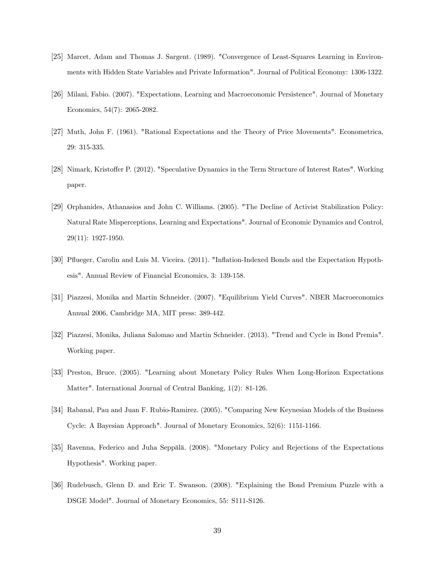- [25] Marcet, Adam and Thomas J. Sargent. (1989). "Convergence of Least-Squares Learning in Environments with Hidden State Variables and Private Information". Journal of Political Economy: 1306-1322.
- [26] Milani, Fabio. (2007). "Expectations, Learning and Macroeconomic Persistence". Journal of Monetary Economics, 54(7): 2065-2082.
- [27] Muth, John F. (1961). "Rational Expectations and the Theory of Price Movements". Econometrica, 29: 315-335.
- [28] Nimark, Kristoffer P. (2012). "Speculative Dynamics in the Term Structure of Interest Rates". Working paper.
- [29] Orphanides, Athanasios and John C. Williams. (2005). "The Decline of Activist Stabilization Policy: Natural Rate Misperceptions, Learning and Expectations". Journal of Economic Dynamics and Control, 29(11): 1927-1950.
- [30] Pflueger, Carolin and Luis M. Viceira. (2011). "Inflation-Indexed Bonds and the Expectation Hypothesis". Annual Review of Financial Economics, 3: 139-158.
- [31] Piazzesi, Monika and Martin Schneider. (2007). "Equilibrium Yield Curves". NBER Macroeconomics Annual 2006, Cambridge MA, MIT press: 389-442.
- [32] Piazzesi, Monika, Juliana Salomao and Martin Schneider. (2013). "Trend and Cycle in Bond Premia". Working paper.
- [33] Preston, Bruce. (2005). "Learning about Monetary Policy Rules When Long-Horizon Expectations Matter". International Journal of Central Banking, 1(2): 81-126.
- [34] Rabanal, Pau and Juan F. Rubio-Ramirez. (2005). "Comparing New Keynesian Models of the Business Cycle: A Bayesian Approach". Journal of Monetary Economics, 52(6): 1151-1166.
- [35] Ravenna, Federico and Juha Seppälä. (2008). "Monetary Policy and Rejections of the Expectations Hypothesis". Working paper.
- [36] Rudebusch, Glenn D. and Eric T. Swanson. (2008). "Explaining the Bond Premium Puzzle with a DSGE Model". Journal of Monetary Economics, 55: S111-S126.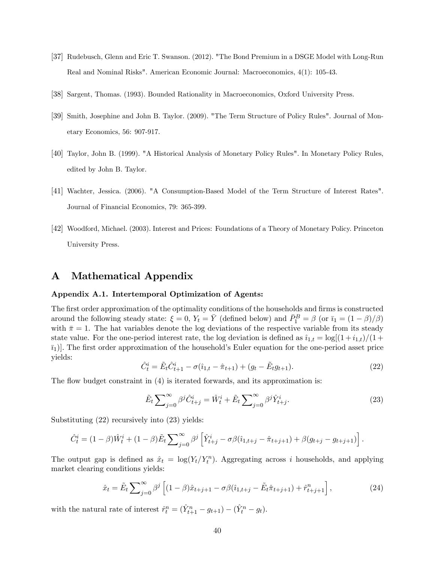- [37] Rudebusch, Glenn and Eric T. Swanson. (2012). "The Bond Premium in a DSGE Model with Long-Run Real and Nominal Risks". American Economic Journal: Macroeconomics, 4(1): 105-43.
- [38] Sargent, Thomas. (1993). Bounded Rationality in Macroeconomics, Oxford University Press.
- [39] Smith, Josephine and John B. Taylor. (2009). "The Term Structure of Policy Rules". Journal of Monetary Economics, 56: 907-917.
- [40] Taylor, John B. (1999). "A Historical Analysis of Monetary Policy Rules". In Monetary Policy Rules, edited by John B. Taylor.
- [41] Wachter, Jessica. (2006). "A Consumption-Based Model of the Term Structure of Interest Rates". Journal of Financial Economics, 79: 365-399.
- [42] Woodford, Michael. (2003). Interest and Prices: Foundations of a Theory of Monetary Policy. Princeton University Press.

## A Mathematical Appendix

#### Appendix A.1. Intertemporal Optimization of Agents:

The first order approximation of the optimality conditions of the households and firms is constructed around the following steady state:  $\xi = 0$ ,  $Y_t = \overline{Y}$  (defined below) and  $\overline{P}_1^B = \beta$  (or  $\overline{i_1} = (1 - \beta)/\beta$ ) with  $\bar{\pi} = 1$ . The hat variables denote the log deviations of the respective variable from its steady state value. For the one-period interest rate, the log deviation is defined as  $\hat{i}_{1,t} = \log[(1 + i_{1,t})/(1 +$  $[\bar{i}_1]$ . The first order approximation of the household's Euler equation for the one-period asset price yields:

$$
\hat{C}_t^i = \tilde{E}_t \hat{C}_{t+1}^i - \sigma(\hat{\imath}_{1,t} - \hat{\pi}_{t+1}) + (g_t - \tilde{E}_t g_{t+1}).
$$
\n(22)

The flow budget constraint in  $(4)$  is iterated forwards, and its approximation is:

$$
\tilde{E}_t \sum_{j=0}^{\infty} \beta^j \hat{C}_{t+j}^i = \hat{W}_t^i + \tilde{E}_t \sum_{j=0}^{\infty} \beta^j \hat{Y}_{t+j}^i.
$$
\n(23)

Substituting (22) recursively into (23) yields:

$$
\hat{C}_t^i = (1 - \beta)\hat{W}_t^i + (1 - \beta)\tilde{E}_t \sum_{j=0}^{\infty} \beta^j \left[ \hat{Y}_{t+j}^i - \sigma\beta(\hat{\imath}_{1,t+j} - \hat{\pi}_{t+j+1}) + \beta(g_{t+j} - g_{t+j+1}) \right].
$$

The output gap is defined as  $\hat{x}_t = \log(Y_t/Y_t^n)$ . Aggregating across i households, and applying market clearing conditions yields:

$$
\hat{x}_t = \tilde{E}_t \sum_{j=0}^{\infty} \beta^j \left[ (1-\beta)\hat{x}_{t+j+1} - \sigma\beta(\hat{i}_{1,t+j} - \tilde{E}_t \hat{\pi}_{t+j+1}) + \hat{r}_{t+j+1}^n \right],\tag{24}
$$

with the natural rate of interest  $\hat{r}_t^n = (\hat{Y}_{t+1}^n - g_{t+1}) - (\hat{Y}_t^n - g_t)$ .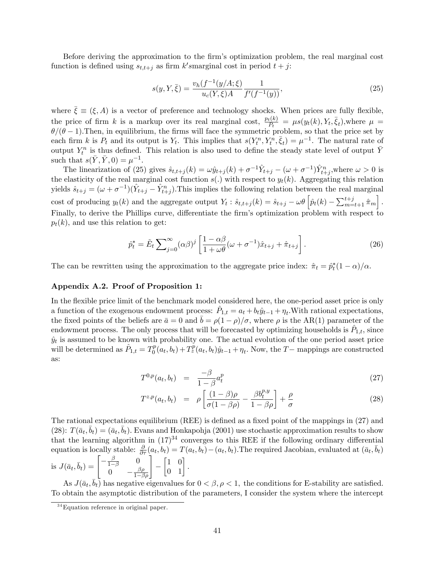Before deriving the approximation to the firm's optimization problem, the real marginal cost function is defined using  $s_{t,t+j}$  as firm k'smarginal cost in period  $t+j$ :

$$
s(y, Y, \bar{\xi}) = \frac{v_h(f^{-1}(y/A; \xi)}{u_c(Y, \xi)A} \frac{1}{f'(f^{-1}(y))},
$$
\n(25)

where  $\xi \equiv (\xi, A)$  is a vector of preference and technology shocks. When prices are fully flexible, the price of firm k is a markup over its real marginal cost,  $\frac{pt(k)}{P_t} = \mu s(y_t(k), Y_t, \bar{\xi}_t)$ , where  $\mu =$  $\theta/(\theta - 1)$ . Then, in equilibrium, the firms will face the symmetric problem, so that the price set by each firm k is  $P_t$  and its output is  $Y_t$ . This implies that  $s(Y_t^n, Y_t^n, \bar{\xi}_t) = \mu^{-1}$ . The natural rate of output  $Y_t^n$  is thus defined. This relation is also used to define the steady state level of output  $\bar{Y}$ such that  $s(\bar{Y}, \bar{Y}, 0) = \mu^{-1}$ .

The linearization of (25) gives  $\hat{s}_{t,t+j}(k) = \omega \hat{y}_{t+j}(k) + \sigma^{-1} \hat{Y}_{t+j} - (\omega + \sigma^{-1}) \hat{Y}_{t+j}^n$ , where  $\omega > 0$  is the elasticity of the real marginal cost function  $s(.)$  with respect to  $y_t(k)$ . Aggregating this relation yields  $\hat{s}_{t+j} = (\omega + \sigma^{-1})(\hat{Y}_{t+j} - \hat{Y}_{t+j}^n)$ . This implies the following relation between the real marginal cost of producing  $y_t(k)$  and the aggregate output  $Y_t$ :  $\hat{s}_{t,t+j}(k) = \hat{s}_{t+j} - \omega \theta \left[ \hat{p}_t(k) - \sum_{m=t+1}^{t+j} \hat{\pi}_m \right]$ . Finally, to derive the Phillips curve, differentiate the firm's optimization problem with respect to  $p_t(k)$ , and use this relation to get:

$$
\hat{p}_t^* = \tilde{E}_t \sum_{j=0}^{\infty} (\alpha \beta)^j \left[ \frac{1 - \alpha \beta}{1 + \omega \theta} (\omega + \sigma^{-1}) \hat{x}_{t+j} + \hat{\pi}_{t+j} \right]. \tag{26}
$$

The can be rewritten using the approximation to the aggregate price index:  $\hat{\pi}_t = \hat{p}_t^*(1 - \alpha)/\alpha$ .

#### Appendix A.2. Proof of Proposition 1:

In the flexible price limit of the benchmark model considered here, the one-period asset price is only a function of the exogenous endowment process:  $\hat{P}_{1,t} = a_t + b_t \hat{y}_{t-1} + \eta_t$ . With rational expectations, the fixed points of the beliefs are  $\bar{a} = 0$  and  $b = \rho(1 - \rho)/\sigma$ , where  $\rho$  is the AR(1) parameter of the endowment process. The only process that will be forecasted by optimizing households is  $\hat{P}_{1,t}$ , since  $\hat{y}_t$  is assumed to be known with probability one. The actual evolution of the one period asset price will be determined as  $\hat{P}_{1,t} = T_0^p$  $\int_0^p (a_t, b_t) + T_z^p(a_t, b_t) \hat{y}_{t-1} + \eta_t$ . Now, the T – mappings are constructed as:

$$
T^{0,p}(a_t, b_t) = \frac{-\beta}{1-\beta} a_t^p \tag{27}
$$

$$
T^{z,p}(a_t, b_t) = \rho \left[ \frac{(1-\beta)\rho}{\sigma(1-\beta\rho)} - \frac{\beta b_t^{p,y}}{1-\beta\rho} \right] + \frac{\rho}{\sigma}
$$
\n(28)

The rational expectations equilibrium (REE) is defined as a fixed point of the mappings in (27) and (28):  $T(\bar{a}_t, \bar{b}_t) = (\bar{a}_t, \bar{b}_t)$ . Evans and Honkapohja (2001) use stochastic approximation results to show that the learning algorithm in  $(17)^{34}$  converges to this REE if the following ordinary differential equation is locally stable:  $\frac{\partial}{\partial \tau}(a_t, b_t) = T(a_t, b_t) - (a_t, b_t)$ . The required Jacobian, evaluated at  $(\bar{a}_t, \bar{b}_t)$  $\bar{b}_t$ ) =  $\left[\frac{-\frac{\beta}{1-\beta}}{2}\right]$ :

is 
$$
J(\bar{a}_t, \bar{b}_t) = \begin{bmatrix} -\frac{\beta}{1-\beta} & 0\\ 0 & -\frac{\beta \rho}{1-\beta \rho} \end{bmatrix} - \begin{bmatrix} 1 & 0\\ 0 & 1 \end{bmatrix}
$$
  
As  $I(\bar{a}_t, \bar{b}_t)$  has negative eigenvalues

As  $J(\bar{a}_t, \bar{b}_t)$  has negative eigenvalues for  $0 < \beta, \rho < 1$ , the conditions for E-stability are satisfied. To obtain the asymptotic distribution of the parameters, I consider the system where the intercept

<sup>34</sup>Equation reference in original paper.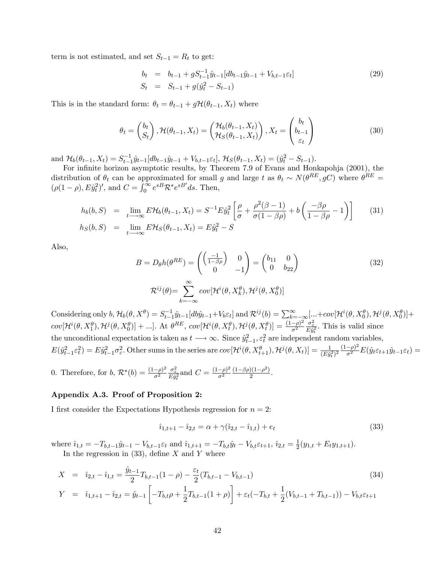term is not estimated, and set  $S_{t-1} = R_t$  to get:

$$
b_t = b_{t-1} + gS_{t-1}^{-1}\hat{y}_{t-1}[db_{t-1}\hat{y}_{t-1} + V_{b,t-1}\varepsilon_t]
$$
  
\n
$$
S_t = S_{t-1} + g(\hat{y}_t^2 - S_{t-1})
$$
\n(29)

This is in the standard form:  $\theta_t = \theta_{t-1} + g\mathcal{H}(\theta_{t-1}, X_t)$  where

$$
\theta_t = \begin{pmatrix} b_t \\ S_t \end{pmatrix}, \mathcal{H}(\theta_{t-1}, X_t) = \begin{pmatrix} \mathcal{H}_b(\theta_{t-1}, X_t) \\ \mathcal{H}_S(\theta_{t-1}, X_t) \end{pmatrix}, X_t = \begin{pmatrix} b_t \\ b_{t-1} \\ \varepsilon_t \end{pmatrix}
$$
(30)

and  $\mathcal{H}_b(\theta_{t-1}, X_t) = S_{t-1}^{-1}\hat{y}_{t-1}[db_{t-1}\hat{y}_{t-1} + V_{b,t-1}\varepsilon_t], \mathcal{H}_S(\theta_{t-1}, X_t) = (\hat{y}_t^2 - S_{t-1}).$ 

For infinite horizon asymptotic results, by Theorem 7.9 of Evans and Honkapohja (2001), the distribution of  $\theta_t$  can be approximated for small g and large t as  $\theta_t \sim N(\theta^{RE}, gC)$  where  $\theta^{RE} =$  $(\rho(1 - \rho), E\hat{y}_t^2)'$ , and  $C = \int_0^\infty e^{sB} \mathcal{R}^* e^{sB'} ds$ . Then,

$$
h_b(b, S) = \lim_{t \to \infty} E\mathcal{H}_b(\theta_{t-1}, X_t) = S^{-1} E \hat{y}_t^2 \left[ \frac{\rho}{\sigma} + \frac{\rho^2(\beta - 1)}{\sigma(1 - \beta \rho)} + b \left( \frac{-\beta \rho}{1 - \beta \rho} - 1 \right) \right]
$$
(31)  

$$
h_S(b, S) = \lim_{t \to \infty} E\mathcal{H}_S(\theta_{t-1}, X_t) = E \hat{y}_t^2 - S
$$

Also,

$$
B = D_{\theta}h(\theta^{RE}) = \begin{pmatrix} \left(\frac{-1}{1-\beta\rho}\right) & 0\\ 0 & -1 \end{pmatrix} = \begin{pmatrix} b_{11} & 0\\ 0 & b_{22} \end{pmatrix}
$$

$$
\mathcal{R}^{ij}(\theta) = \sum_{k=-\infty}^{\infty} cov[\mathcal{H}^{i}(\theta, X_{k}^{\theta}), \mathcal{H}^{j}(\theta, X_{0}^{\theta})]
$$
(32)

Considering only  $b, \mathcal{H}_b(\theta, X^{\theta}) = S_{t-1}^{-1}\hat{y}_{t-1}[db\hat{y}_{t-1}+V_b\varepsilon_t]$  and  $\mathcal{R}^{ij}(b) = \sum_{k=-\infty}^{\infty} [\dots + cov[\mathcal{H}^i(\theta, X_0^{\theta}), \mathcal{H}^j(\theta, X_0^{\theta})] +$  $cov[\mathcal{H}^{i}(\theta, X_1^{\theta}), \mathcal{H}^{j}(\theta, X_0^{\theta})] + ...].$  At  $\theta^{RE}$ ,  $cov[\mathcal{H}^{i}(\theta, X_t^{\theta}), \mathcal{H}^{j}(\theta, X_t^{\theta})] = \frac{(1-\rho)^2}{\sigma^2}$  $\overline{\sigma^2}$  $\frac{\sigma_{\varepsilon}^2}{E\hat{y}_t^2}$ . This is valid since the unconditional expectation is taken as  $t \longrightarrow \infty$ . Since  $\hat{y}_{t-1}^2$ ,  $\varepsilon_t^2$  are independent random variables,  $E(\hat{y}_{t-1}^2 \varepsilon_t^2) = E\hat{y}_{t-1}^2 \sigma_{\varepsilon}^2$ . Other sums in the series are  $cov[\mathcal{H}^i(\theta, X_{t+1}^{\theta}), \mathcal{H}^j(\theta, X_t)] = \frac{1}{(E\hat{y}_t^2)^2} \frac{(1-\rho)^2}{\sigma^2} E(\hat{y}_t \varepsilon_{t+1} \hat{y}_{t-1} \varepsilon_t)$ 

0. Therefore, for  $b, \mathcal{R}^*(b) = \frac{(1-\rho)^2}{\sigma^2}$  $\overline{\sigma^2}$  $\frac{\sigma_{\varepsilon}^2}{E\hat{y}_t^2}$  and  $C = \frac{(1-\rho)^2}{\sigma^2}$  $\frac{(-\rho)^2}{\sigma^2} \frac{(1-\beta \rho)(1-\rho^2)}{2}$  $\frac{11-\rho^{-1}}{2}$ .

#### Appendix A.3. Proof of Proposition 2:

I first consider the Expectations Hypothesis regression for  $n = 2$ :

$$
\hat{i}_{1,t+1} - \hat{i}_{2,t} = \alpha + \gamma(\hat{i}_{2,t} - \hat{i}_{1,t}) + e_t \tag{33}
$$

where  $\hat{i}_{1,t} = -T_{b,t-1}\hat{y}_{t-1} - V_{b,t-1}\varepsilon_t$  and  $\hat{i}_{1,t+1} = -T_{b,t}\hat{y}_t - V_{b,t}\varepsilon_{t+1}, \hat{i}_{2,t} = \frac{1}{2}$  $\frac{1}{2}(y_{1,t}+E_t y_{1,t+1}).$ In the regression in  $(33)$ , define X and Y where

$$
X = \hat{i}_{2,t} - \hat{i}_{1,t} = \frac{\hat{y}_{t-1}}{2} T_{b,t-1} (1 - \rho) - \frac{\varepsilon_t}{2} (T_{b,t-1} - V_{b,t-1})
$$
(34)  

$$
Y = \hat{i}_{1,t+1} - \hat{i}_{2,t} = \hat{y}_{t-1} \left[ -T_{b,t} \rho + \frac{1}{2} T_{b,t-1} (1 + \rho) \right] + \varepsilon_t (-T_{b,t} + \frac{1}{2} (V_{b,t-1} + T_{b,t-1})) - V_{b,t} \varepsilon_{t+1}
$$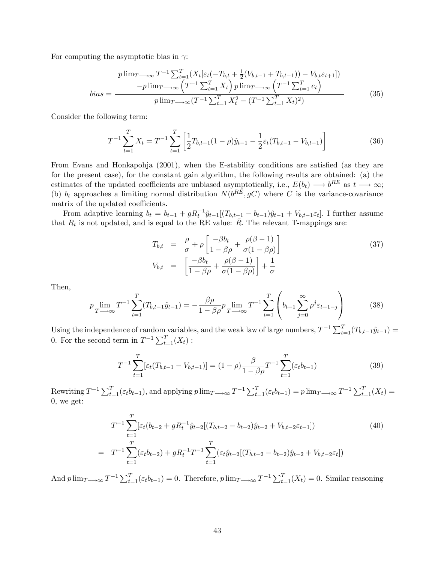For computing the asymptotic bias in  $\gamma$ :

$$
p \lim_{T \to \infty} T^{-1} \sum_{t=1}^{T} (X_t[\varepsilon_t(-T_{b,t} + \frac{1}{2}(V_{b,t-1} + T_{b,t-1})) - V_{b,t}\varepsilon_{t+1}])
$$

$$
-p \lim_{T \to \infty} \left(T^{-1} \sum_{t=1}^{T} X_t\right) p \lim_{T \to \infty} \left(T^{-1} \sum_{t=1}^{T} e_t\right)
$$

$$
p \lim_{T \to \infty} (T^{-1} \sum_{t=1}^{T} X_t^2 - (T^{-1} \sum_{t=1}^{T} X_t)^2)
$$
(35)

Consider the following term:

$$
T^{-1} \sum_{t=1}^{T} X_t = T^{-1} \sum_{t=1}^{T} \left[ \frac{1}{2} T_{b,t-1} (1 - \rho) \hat{y}_{t-1} - \frac{1}{2} \varepsilon_t (T_{b,t-1} - V_{b,t-1}) \right]
$$
(36)

From Evans and Honkapohja (2001), when the E-stability conditions are satisfied (as they are for the present case), for the constant gain algorithm, the following results are obtained: (a) the estimates of the updated coefficients are unbiased asymptotically, i.e.,  $E(b_t) \longrightarrow b^{RE}$  as  $t \longrightarrow \infty$ ; (b)  $b_t$  approaches a limiting normal distribution  $N(b^{RE}, gC)$  where C is the variance-covariance matrix of the updated coefficients.

From adaptive learning  $b_t = b_{t-1} + g R_t^{-1} \hat{y}_{t-1} [(T_{b,t-1} - b_{t-1}) \hat{y}_{t-1} + V_{b,t-1} \varepsilon_t]$ . I further assume that  $R_t$  is not updated, and is equal to the RE value:  $\overline{R}$ . The relevant T-mappings are:

$$
T_{b,t} = \frac{\rho}{\sigma} + \rho \left[ \frac{-\beta b_t}{1 - \beta \rho} + \frac{\rho(\beta - 1)}{\sigma(1 - \beta \rho)} \right]
$$
  
\n
$$
V_{b,t} = \left[ \frac{-\beta b_t}{1 - \beta \rho} + \frac{\rho(\beta - 1)}{\sigma(1 - \beta \rho)} \right] + \frac{1}{\sigma}
$$
\n(37)

Then,

$$
p \lim_{T \to \infty} T^{-1} \sum_{t=1}^{T} (T_{b,t-1} \hat{y}_{t-1}) = -\frac{\beta \rho}{1 - \beta \rho} p \lim_{T \to \infty} T^{-1} \sum_{t=1}^{T} \left( b_{t-1} \sum_{j=0}^{\infty} \rho^{j} \varepsilon_{t-1-j} \right)
$$
(38)

Using the independence of random variables, and the weak law of large numbers,  $T^{-1} \sum_{t=1}^{T} (T_{b,t-1}\hat{y}_{t-1}) =$ 0. For the second term in  $T^{-1} \sum_{t=1}^{T} (X_t)$ :

$$
T^{-1} \sum_{t=1}^{T} [\varepsilon_t (T_{b,t-1} - V_{b,t-1})] = (1 - \rho) \frac{\beta}{1 - \beta \rho} T^{-1} \sum_{t=1}^{T} (\varepsilon_t b_{t-1})
$$
(39)

Rewriting  $T^{-1} \sum_{t=1}^{T} (\varepsilon_t b_{t-1})$ , and applying  $p \lim_{T \to \infty} T^{-1} \sum_{t=1}^{T} (\varepsilon_t b_{t-1}) = p \lim_{T \to \infty} T^{-1} \sum_{t=1}^{T} (X_t) =$ 0; we get:

$$
T^{-1} \sum_{t=1}^{T} \left[ \varepsilon_t (b_{t-2} + g R_t^{-1} \hat{y}_{t-2} [(T_{b,t-2} - b_{t-2}) \hat{y}_{t-2} + V_{b,t-2} \varepsilon_{t-1}] \right) \tag{40}
$$
  
= 
$$
T^{-1} \sum_{t=1}^{T} (\varepsilon_t b_{t-2}) + g R_t^{-1} T^{-1} \sum_{t=1}^{T} (\varepsilon_t \hat{y}_{t-2} [(T_{b,t-2} - b_{t-2}) \hat{y}_{t-2} + V_{b,t-2} \varepsilon_t])
$$

And  $p \lim_{T \to \infty} T^{-1} \sum_{t=1}^{T} (\varepsilon_t b_{t-1}) = 0$ . Therefore,  $p \lim_{T \to \infty} T^{-1} \sum_{t=1}^{T} (X_t) = 0$ . Similar reasoning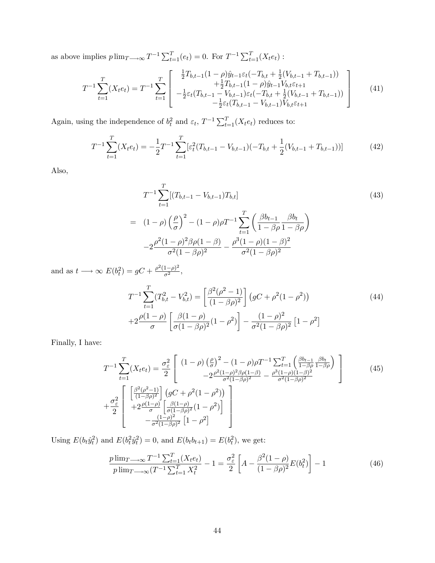as above implies  $p \lim_{T \to \infty} T^{-1} \sum_{t=1}^{T} (e_t) = 0$ . For  $T^{-1} \sum_{t=1}^{T} (X_t e_t)$ :

$$
T^{-1} \sum_{t=1}^{T} (X_t e_t) = T^{-1} \sum_{t=1}^{T} \begin{bmatrix} \frac{1}{2} T_{b,t-1} (1-\rho) \hat{y}_{t-1} \varepsilon_t (-T_{b,t} + \frac{1}{2} (V_{b,t-1} + T_{b,t-1})) \\ + \frac{1}{2} T_{b,t-1} (1-\rho) \hat{y}_{t-1} V_{b,t} \varepsilon_{t+1} \\ - \frac{1}{2} \varepsilon_t (T_{b,t-1} - V_{b,t-1}) \varepsilon_t (-T_{b,t} + \frac{1}{2} (V_{b,t-1} + T_{b,t-1})) \\ - \frac{1}{2} \varepsilon_t (T_{b,t-1} - V_{b,t-1}) V_{b,t} \varepsilon_{t+1} \end{bmatrix}
$$
(41)

Again, using the independence of  $b_t^2$  and  $\varepsilon_t$ ,  $T^{-1} \sum_{t=1}^T (X_t e_t)$  reduces to:

$$
T^{-1} \sum_{t=1}^{T} (X_t e_t) = -\frac{1}{2} T^{-1} \sum_{t=1}^{T} \left[ \varepsilon_t^2 (T_{b,t-1} - V_{b,t-1}) (-T_{b,t} + \frac{1}{2} (V_{b,t-1} + T_{b,t-1})) \right]
$$
(42)

Also,

$$
T^{-1} \sum_{t=1}^{T} [(T_{b,t-1} - V_{b,t-1})T_{b,t}]
$$
\n
$$
= (1 - \rho) \left(\frac{\rho}{\sigma}\right)^2 - (1 - \rho)\rho T^{-1} \sum_{t=1}^{T} \left(\frac{\beta b_{t-1}}{1 - \beta \rho} \frac{\beta b_t}{1 - \beta \rho}\right)
$$
\n
$$
-2 \frac{\rho^2 (1 - \rho)^2 \beta \rho (1 - \beta)}{\sigma^2 (1 - \beta \rho)^2} - \frac{\rho^3 (1 - \rho)(1 - \beta)^2}{\sigma^2 (1 - \beta \rho)^2}
$$
\n(43)

and as  $t \longrightarrow \infty$   $E(b_t^2) = gC + \frac{\rho^2(1-\rho)^2}{\sigma^2}$ ,

$$
T^{-1} \sum_{t=1}^{T} (T_{b,t}^2 - V_{b,t}^2) = \left[ \frac{\beta^2 (\rho^2 - 1)}{(1 - \beta \rho)^2} \right] (gC + \rho^2 (1 - \rho^2))
$$
(44)  
+2 $\frac{\rho(1 - \rho)}{\sigma} \left[ \frac{\beta(1 - \rho)}{\sigma (1 - \beta \rho)^2} (1 - \rho^2) \right] - \frac{(1 - \rho)^2}{\sigma^2 (1 - \beta \rho)^2} [1 - \rho^2]$ 

Finally, I have:

$$
T^{-1} \sum_{t=1}^{T} (X_t e_t) = \frac{\sigma_{\varepsilon}^2}{2} \left[ \frac{(1-\rho)\left(\frac{\rho}{\sigma}\right)^2 - (1-\rho)\rho T^{-1} \sum_{t=1}^{T} \left(\frac{\beta b_{t-1}}{1-\beta \rho} \frac{\beta b_{t}}{1-\beta \rho}\right)}{-2 \frac{\rho^2 (1-\rho)^2 \beta \rho (1-\beta)}{\sigma^2 (1-\beta \rho)^2} - \frac{\rho^3 (1-\rho)(1-\beta)^2}{\sigma^2 (1-\beta \rho)^2}} \right]
$$
(45)  
+ 
$$
\frac{\sigma_{\varepsilon}^2}{2} \left[ \frac{\left[\frac{\beta^2 (\rho^2 - 1)}{(1-\beta \rho)^2}\right] \left(gC + \rho^2 (1-\rho^2)\right)}{+\frac{\beta (1-\rho)}{\sigma} \left[\frac{\beta (1-\rho)}{\sigma (1-\beta \rho)^2} (1-\rho^2)\right]} - \frac{(1-\rho)^2}{\sigma^2 (1-\beta \rho)^2} \left[1-\rho^2\right] \right]
$$

Using  $E(b_t\hat{y}_t^2)$  and  $E(b_t^2\hat{y}_t^2) = 0$ , and  $E(b_t\hat{b}_{t+1}) = E(b_t^2)$ , we get:

$$
\frac{p \lim_{T \to \infty} T^{-1} \sum_{t=1}^{T} (X_t e_t)}{p \lim_{T \to \infty} (T^{-1} \sum_{t=1}^{T} X_t^2)} - 1 = \frac{\sigma_{\varepsilon}^2}{2} \left[ A - \frac{\beta^2 (1 - \rho)}{(1 - \beta \rho)^2} E(b_t^2) \right] - 1 \tag{46}
$$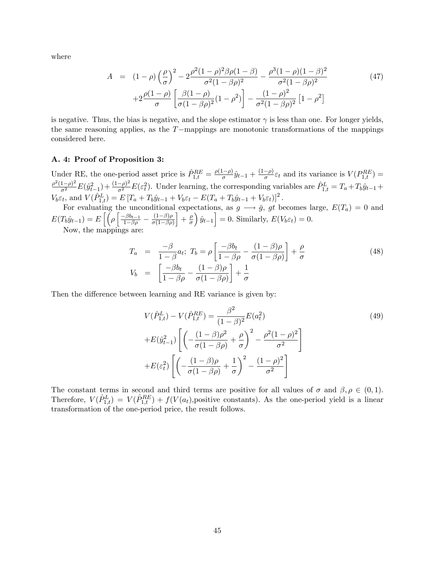where

$$
A = (1 - \rho) \left(\frac{\rho}{\sigma}\right)^2 - 2 \frac{\rho^2 (1 - \rho)^2 \beta \rho (1 - \beta)}{\sigma^2 (1 - \beta \rho)^2} - \frac{\rho^3 (1 - \rho)(1 - \beta)^2}{\sigma^2 (1 - \beta \rho)^2} + 2 \frac{\rho (1 - \rho)}{\sigma} \left[\frac{\beta (1 - \rho)}{\sigma (1 - \beta \rho)^2} (1 - \rho^2)\right] - \frac{(1 - \rho)^2}{\sigma^2 (1 - \beta \rho)^2} [1 - \rho^2]
$$
(47)

is negative. Thus, the bias is negative, and the slope estimator  $\gamma$  is less than one. For longer yields, the same reasoning applies, as the  $T$ -mappings are monotonic transformations of the mappings considered here.

#### A. 4: Proof of Proposition 3:

Under RE, the one-period asset price is  $\hat{P}^{RE}_{1,t} = \frac{\rho(1-\rho)}{\sigma} \hat{y}_{t-1} + \frac{(1-\rho)}{\sigma} \varepsilon_t$  and its variance is  $V(P^{RE}_{1,t}) =$  $\frac{\rho^2(1-\rho)^2}{\sigma^2}E(\hat{y}_{t-1}^2) + \frac{(1-\rho)^2}{\sigma^2}E(\varepsilon_t^2)$ . Under learning, the corresponding variables are  $\hat{P}_{1,t}^L = T_a + T_b\hat{y}_{t-1} + T_bT_b$  $V_b \varepsilon_t$ , and  $V(\hat{P}_{1,t}^L) = E [T_a + T_b \hat{y}_{t-1} + V_b \varepsilon_t - E(T_a + T_b \hat{y}_{t-1} + V_b \varepsilon_t)]^2$ .

For evaluating the unconditional expectations, as  $g \longrightarrow \bar{g}$ , gt becomes large,  $E(T_a) = 0$  and  $E(T_b\hat{y}_{t-1}) = E\left[\left(\rho \left[\frac{-\beta b_{t-1}}{1-\beta \rho} - \frac{(1-\beta)\rho}{\sigma(1-\beta \rho)}\right]\right]\right]$  $\sigma(1-\beta\rho)$  $+\frac{\rho}{a}$  $\sigma$  $\hat{y}_{t-1}$  = 0. Similarly,  $E(V_b \varepsilon_t) = 0$ .

Now, the mappings are:

$$
T_a = \frac{-\beta}{1-\beta} a_t; \ T_b = \rho \left[ \frac{-\beta b_t}{1-\beta \rho} - \frac{(1-\beta)\rho}{\sigma(1-\beta \rho)} \right] + \frac{\rho}{\sigma}
$$
  
\n
$$
V_b = \left[ \frac{-\beta b_t}{1-\beta \rho} - \frac{(1-\beta)\rho}{\sigma(1-\beta \rho)} \right] + \frac{1}{\sigma}
$$
\n(48)

Then the difference between learning and RE variance is given by:

$$
V(\hat{P}_{1,t}^{L}) - V(\hat{P}_{1,t}^{RE}) = \frac{\beta^{2}}{(1-\beta)^{2}} E(a_{t}^{2})
$$
  
+
$$
E(\hat{y}_{t-1}^{2}) \left[ \left( -\frac{(1-\beta)\rho^{2}}{\sigma(1-\beta\rho)} + \frac{\rho}{\sigma} \right)^{2} - \frac{\rho^{2}(1-\rho)^{2}}{\sigma^{2}} \right]
$$
  
+
$$
E(\varepsilon_{t}^{2}) \left[ \left( -\frac{(1-\beta)\rho}{\sigma(1-\beta\rho)} + \frac{1}{\sigma} \right)^{2} - \frac{(1-\rho)^{2}}{\sigma^{2}} \right]
$$
 (49)

The constant terms in second and third terms are positive for all values of  $\sigma$  and  $\beta, \rho \in (0,1)$ . Therefore,  $V(\hat{P}_{1,t}^L) = V(\hat{P}_{1,t}^{RE}) + f(V(a_t))$ , positive constants). As the one-period yield is a linear transformation of the one-period price, the result follows.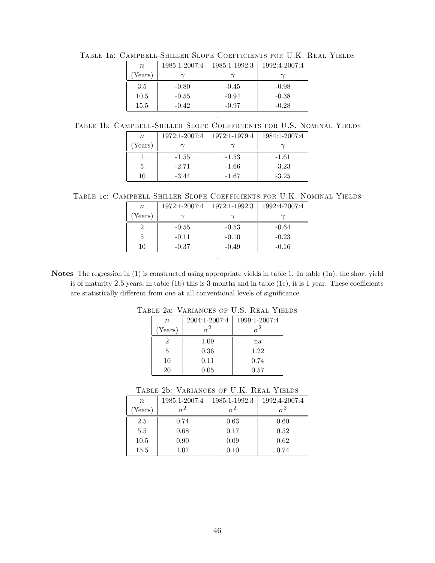| $\boldsymbol{n}$ | 1985:1-2007:4 | 1985:1-1992:3 | 1992:4-2007:4 |
|------------------|---------------|---------------|---------------|
| (Years)          |               |               |               |
| 3.5              | $-0.80$       | $-0.45$       | $-0.98$       |
| 10.5             | $-0.55$       | $-0.94$       | $-0.38$       |
| 15.5             | $-0.42$       | $-0.97$       | $-0.28$       |

Table 1a: Campbell-Shiller Slope Coefficients for U.K. Real Yields

. Table 1b: Campbell-Shiller Slope Coefficients for U.S. Nominal Yields

| $\, n$ | 1972:1-2007:4 | 1972:1-1979:4 | 1984:1-2007:4 |
|--------|---------------|---------------|---------------|
| Years) |               |               |               |
|        | $-1.55$       | $-1.53$       | $-1.61$       |
| 5      | $-2.71$       | $-1.66$       | $-3.23$       |
| 10     | $-3.44$       | $-1.67$       | $-3.25$       |

. Table 1c: Campbell-Shiller Slope Coefficients for U.K. Nominal Yields

| $\it n$ | 1972:1-2007:4 | 1972:1-1992:3 | 1992:4-2007:4 |
|---------|---------------|---------------|---------------|
| Years)  |               |               |               |
|         | $-0.55$       | $-0.53$       | $-0.64$       |
| 5       | $-0.11$       | $-0.10$       | $-0.23$       |
| 10      | $-0.37$       | $-0.49$       | $-0.16$       |

Notes The regression in (1) is constructed using appropriate yields in table 1. In table (1a), the short yield is of maturity 2.5 years, in table (1b) this is  $3$  months and in table (1c), it is 1 year. These coefficients are statistically different from one at all conventional levels of significance.

.

|                  |               | 1988 ZG. VARIANVED VI V.9. IGBAB I 181 |
|------------------|---------------|----------------------------------------|
| $\boldsymbol{n}$ | 2004:1-2007:4 | 1999:1-2007:4                          |
| Years)           |               |                                        |
| 2                | 1.09          | na                                     |
| $\overline{5}$   | 0.36          | 1.22                                   |
| 10               | 0.11          | 0.74                                   |
| 20               | 0.05          | 0.57                                   |

Table 2a: Variances of U.S. Real Yields

. Table 2b: Variances of U.K. Real Yields

| $\boldsymbol{n}$<br>Years) | 1985:1-2007:4 | 1985:1-1992:3 | 1992:4-2007:4 |
|----------------------------|---------------|---------------|---------------|
| 2.5                        | 0.74          | 0.63          | 0.60          |
| 5.5                        | 0.68          | 0.17          | 0.52          |
| 10.5                       | 0.90          | 0.09          | 0.62          |
| 15.5                       | 1.07          | 0.10          | 0.74          |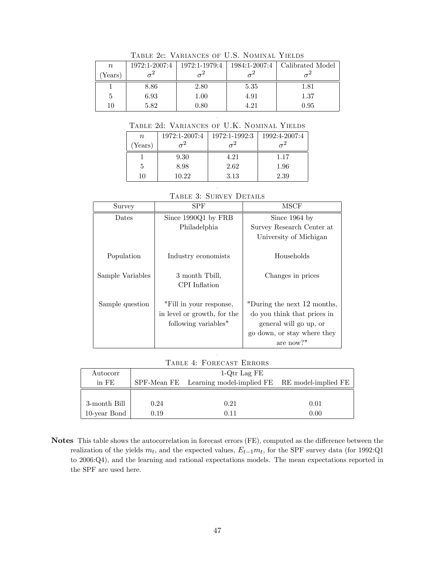Table 2c: Variances of U.S. Nominal Yields

| $\, n$ | 1972:1-2007:4 | 1972:1-1979:4 | 1984:1-2007:4 | Calibrated Model |
|--------|---------------|---------------|---------------|------------------|
| Years) |               |               |               |                  |
|        | 8.86          | 2.80          | 5.35          | $1.81\,$         |
| b      | 6.93          | 1.00          | 4.91          | $1.37\,$         |
| 10     | 5.82          | 0.80          | 4.21          | 0.95             |

#### . Table 2d: Variances of U.K. Nominal Yields

| $\boldsymbol{n}$ | 1972:1-2007:4 | 1972:1-1992:3 | 1992:4-2007:4 |
|------------------|---------------|---------------|---------------|
| Years)           |               |               |               |
|                  | 9.30          | 4.21          | 1.17          |
| 5                | 8.98          | 2.62          | 1.96          |
| 10               | 10.22         | 3.13          | 2.39          |

#### . TABLE 3: SURVEY DETAILS

| Survey           | SPF                                                                            | <b>MSCF</b>                                                                                                           |
|------------------|--------------------------------------------------------------------------------|-----------------------------------------------------------------------------------------------------------------------|
| Dates            | Since 1990Q1 by FRB                                                            | Since 1964 by                                                                                                         |
|                  | Philadelphia                                                                   | Survey Research Center at                                                                                             |
|                  |                                                                                | University of Michigan                                                                                                |
| Population       | Industry economists                                                            | Households                                                                                                            |
| Sample Variables | 3 month Tbill,<br>CPI Inflation                                                | Changes in prices                                                                                                     |
| Sample question  | "Fill in your response,<br>in level or growth, for the<br>following variables" | "During the next $12$ months,<br>do you think that prices in<br>general will go up, or<br>go down, or stay where they |
|                  |                                                                                | are now?"                                                                                                             |

#### . Table 4: Forecast Errors

| Autocorr     | $1-Q$ tr Lag FE |                                                           |      |  |  |
|--------------|-----------------|-----------------------------------------------------------|------|--|--|
| in FE        |                 | SPF-Mean FE Learning model-implied FE RE model-implied FE |      |  |  |
|              |                 |                                                           |      |  |  |
| 3-month Bill | 0.24            | 0.21                                                      | 0.01 |  |  |
| 10-year Bond | 0.19            | 0.11                                                      | 0.00 |  |  |

Notes This table shows the autocorrelation in forecast errors (FE), computed as the difference between the realization of the yields  $m_t$ , and the expected values,  $E_{t-1}m_t$ , for the SPF survey data (for 1992:Q1) to 2006:Q4), and the learning and rational expectations models. The mean expectations reported in the SPF are used here.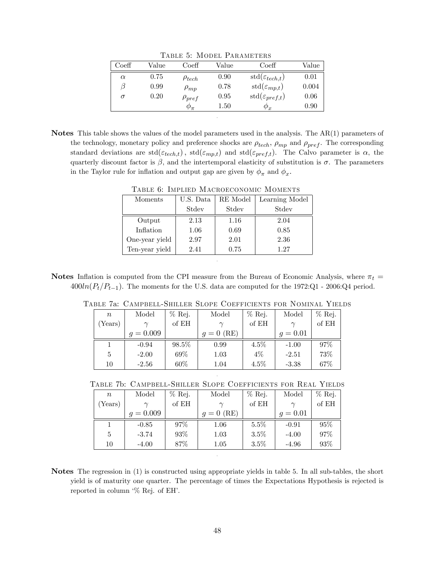Table 5: Model Parameters

| Coeff    | Value | $\mathrm{Coeff}$ | Value    | Coeff                                 | Value |
|----------|-------|------------------|----------|---------------------------------------|-------|
| $\alpha$ | 0.75  | $\rho_{tech}$    | 0.90     | $\mathrm{std}(\varepsilon_{tech, t})$ | 0.01  |
|          | 0.99  | $\rho_{mp}$      | 0.78     | $\text{std}(\varepsilon_{mp,t})$      | 0.004 |
| $\sigma$ | 0.20  | $\rho_{pref}$    | 0.95     | $\text{std}(\varepsilon_{pref,t})$    | 0.06  |
|          |       | $\varphi_{\pi}$  | $1.50\,$ | $\varphi_x$                           | 0.90  |

Notes This table shows the values of the model parameters used in the analysis. The AR(1) parameters of the technology, monetary policy and preference shocks are  $\rho_{tech}$ ,  $\rho_{mp}$  and  $\rho_{pref}$ . The corresponding standard deviations are  $std(\varepsilon_{tech,t})$ ,  $std(\varepsilon_{mp,t})$  and  $std(\varepsilon_{pref,t})$ . The Calvo parameter is  $\alpha$ , the quarterly discount factor is  $\beta$ , and the intertemporal elasticity of substitution is  $\sigma$ . The parameters in the Taylor rule for inflation and output gap are given by  $\phi_{\pi}$  and  $\phi_{x}$ .

| Moments        | U.S. Data | RE Model | Learning Model |
|----------------|-----------|----------|----------------|
|                | Stdev     | Stdev    | Stdev          |
| Output         | 2.13      | 1.16     | 2.04           |
| Inflation      | 1.06      | 0.69     | 0.85           |
| One-year yield | 2.97      | 2.01     | 2.36           |
| Ten-year yield | 2.41      | 0.75     | 1.27           |

Table 6: Implied Macroeconomic Moments

**Notes** Inflation is computed from the CPI measure from the Bureau of Economic Analysis, where  $\pi_t$  =  $400ln(P_t/P_{t-1})$ . The moments for the U.S. data are computed for the 1972:Q1 - 2006:Q4 period.

.

| $\boldsymbol{n}$ | Model     | $%$ Rej. | Model      | $%$ Rej. | Model      | $%$ Rej. |
|------------------|-----------|----------|------------|----------|------------|----------|
| (Years)          |           | of EH    |            | of EH    |            | of EH    |
|                  | $= 0.009$ |          | $= 0$ (RE) |          | $q = 0.01$ |          |
|                  | $-0.94$   | 98.5%    | 0.99       | $4.5\%$  | $-1.00$    | $97\%$   |
| 5                | $-2.00$   | 69%      | 1.03       | $4\%$    | $-2.51$    | 73%      |
| 10               | $-2.56$   | $60\%$   | 1.04       | $4.5\%$  | $-3.38$    | 67%      |

Table 7a: Campbell-Shiller Slope Coefficients for Nominal Yields

. Table 7b: Campbell-Shiller Slope Coefficients for Real Yields

| $\boldsymbol{n}$ | Model     | $%$ Rej. | Model      | $%$ Rej. | Model      | $%$ Rej. |
|------------------|-----------|----------|------------|----------|------------|----------|
| Years)           |           | of EH    |            | of EH    |            | of EH    |
|                  | $= 0.009$ |          | $= 0$ (RE) |          | $q = 0.01$ |          |
|                  | $-0.85$   | 97\%     | 1.06       | $5.5\%$  | $-0.91$    | 95%      |
| 5                | $-3.74$   | 93%      | 1.03       | 3.5%     | $-4.00$    | 97%      |
| 10               | $-4.00$   | 87\%     | $1.05\,$   | 3.5%     | $-4.96$    | 93%      |

Notes The regression in (1) is constructed using appropriate yields in table 5. In all sub-tables, the short yield is of maturity one quarter. The percentage of times the Expectations Hypothesis is rejected is reported in column  $\%$  Rej. of EH'.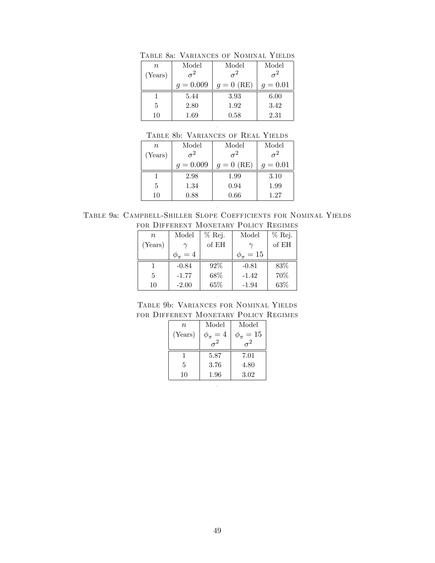Table 8a: Variances of Nominal Yields

| $\, n$  | Model       | Model      | Model      |
|---------|-------------|------------|------------|
| (Years) | $\sigma^2$  |            |            |
|         | $q = 0.009$ | $q=0$ (RE) | $q = 0.01$ |
|         | 5.44        | 3.93       | 6.00       |
| 5       | 2.80        | 1.92       | 3.42       |
| 10      | $1.69\,$    | 0.58       | 2.31       |

. Table 8b: Variances of Real Yields

| $\it n$ | Model       | Model      | Model      |
|---------|-------------|------------|------------|
| (Years) | $\sigma^2$  |            |            |
|         | $q = 0.009$ | $g=0$ (RE) | $q = 0.01$ |
|         | 2.98        | 1.99       | 3.10       |
| 5       | 1.34        | 0.94       | 1.99       |
| 10      | 0.88        | 0.66       | 1.27       |

. Table 9a: Campbell-Shiller Slope Coefficients for Nominal Yields for Different Monetary Policy Regimes

| $\boldsymbol{n}$ | Model   | % Rej. | Model           | % Rej. |  |
|------------------|---------|--------|-----------------|--------|--|
| (Years)          |         | of EH  |                 | of EH  |  |
|                  | $=4$    |        | $\phi_{\pi}=15$ |        |  |
|                  | $-0.84$ | 92%    | $-0.81$         | 83\%   |  |
| 5                | $-1.77$ | 68%    | $-1.42$         | 70%    |  |
| 10               | $-2.00$ | 65%    | $-1.94$         | 63%    |  |

Table 9b: Variances for Nominal Yields for Different Monetary Policy Regimes

.

| $\, n$  | Model          | Model           |
|---------|----------------|-----------------|
| (Years) | $\phi_{\pi}=4$ | $\phi_{\pi}=15$ |
|         |                |                 |
|         | 5.87           | 7.01            |
| 5       | 3.76           | 4.80            |
| 10      | 1.96           | 3.02            |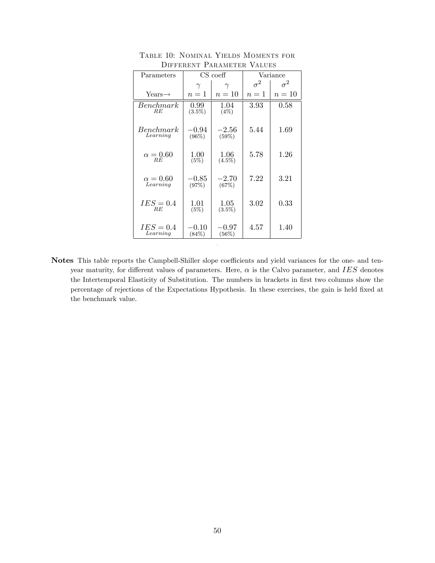| Parameters                  | CS coeff          |                     | Variance   |            |
|-----------------------------|-------------------|---------------------|------------|------------|
|                             |                   |                     |            |            |
|                             | $\gamma$          | $\gamma$            | $\sigma^2$ | $\sigma^2$ |
| $Years \rightarrow$         | $n=1$             | $n=10$              | $n=1$      | $n=10$     |
| Benchmark<br>RE             | 0.99<br>$(3.5\%)$ | 1.04<br>(4%)        | 3.93       | 0.58       |
| Benchmark<br>Learning       | 0.94<br>$(96\%)$  | $-2.56$<br>$(59\%)$ | 5.44       | 1.69       |
| $\alpha = 0.60$<br>RE       | 1.00<br>(5%)      | 1.06<br>$(4.5\%)$   | 5.78       | 1.26       |
| $\alpha = 0.60$<br>Learning | 0.85<br>(97%)     | $-2.70$<br>(67%)    | 7.22       | 3.21       |
| $IES_{RE} = 0.4$            | 1.01<br>(5%)      | 1.05<br>$(3.5\%)$   | 3.02       | 0.33       |
| $IES = 0.4$<br>Learning     | $-0.10$<br>(84%)  | $-0.97$<br>(56%)    | 4.57       | 1.40       |

Table 10: Nominal Yields Moments for Different Parameter Values

Notes This table reports the Campbell-Shiller slope coefficients and yield variances for the one- and tenyear maturity, for different values of parameters. Here,  $\alpha$  is the Calvo parameter, and IES denotes the Intertemporal Elasticity of Substitution. The numbers in brackets in first two columns show the percentage of rejections of the Expectations Hypothesis. In these exercises, the gain is held fixed at the benchmark value.